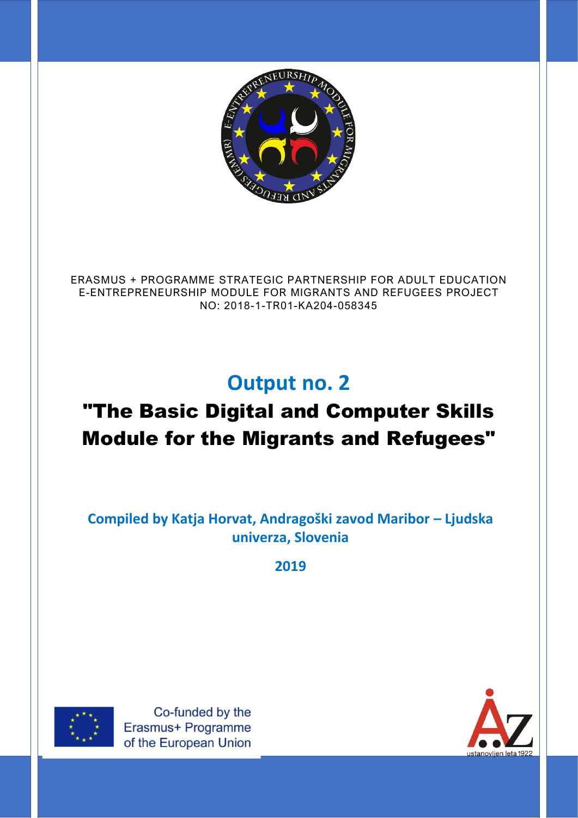

ERASMUS + PROGRAMME STRATEGIC PARTNERSHIP FOR ADULT EDUCATION E-ENTREPRENEURSHIP MODULE FOR MIGRANTS AND REFUGEES PROJECT NO: 2018-1-TR01-KA204-058345

# **Output no. 2**

# "The Basic Digital and Computer Skills Module for the Migrants and Refugees"

**Compiled by Katja Horvat, Andragoški zavod Maribor – Ljudska univerza, Slovenia**

**2019**



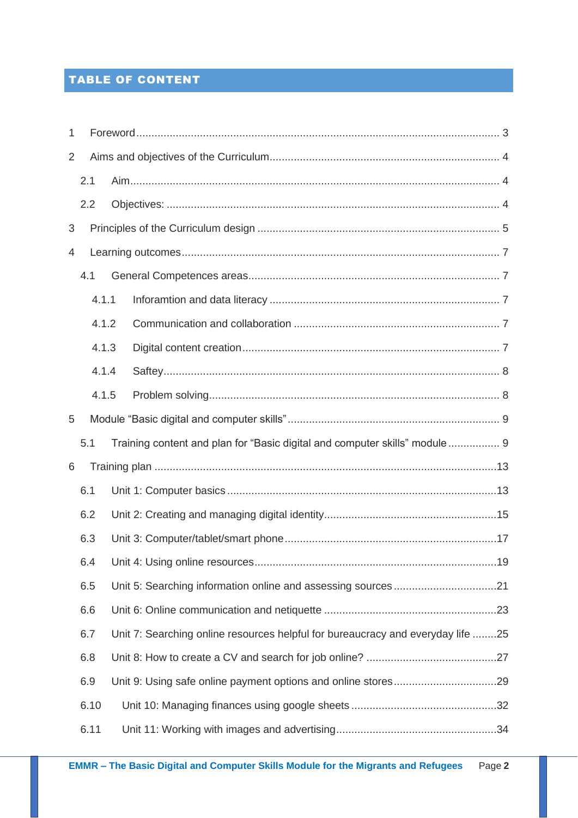# TABLE OF CONTENT

| 1 |      |       |  |                                                                                 |  |
|---|------|-------|--|---------------------------------------------------------------------------------|--|
| 2 |      |       |  |                                                                                 |  |
|   | 2.1  |       |  |                                                                                 |  |
|   | 2.2  |       |  |                                                                                 |  |
| 3 |      |       |  |                                                                                 |  |
| 4 |      |       |  |                                                                                 |  |
|   | 4.1  |       |  |                                                                                 |  |
|   |      | 4.1.1 |  |                                                                                 |  |
|   |      | 4.1.2 |  |                                                                                 |  |
|   |      | 4.1.3 |  |                                                                                 |  |
|   |      | 4.1.4 |  |                                                                                 |  |
|   |      | 4.1.5 |  |                                                                                 |  |
| 5 |      |       |  |                                                                                 |  |
|   | 5.1  |       |  | Training content and plan for "Basic digital and computer skills" module 9      |  |
| 6 |      |       |  |                                                                                 |  |
|   | 6.1  |       |  |                                                                                 |  |
|   | 6.2  |       |  |                                                                                 |  |
|   | 6.3  |       |  |                                                                                 |  |
|   |      |       |  |                                                                                 |  |
|   | 6.5  |       |  |                                                                                 |  |
|   | 6.6  |       |  |                                                                                 |  |
|   | 6.7  |       |  | Unit 7: Searching online resources helpful for bureaucracy and everyday life 25 |  |
|   | 6.8  |       |  |                                                                                 |  |
|   | 6.9  |       |  |                                                                                 |  |
|   | 6.10 |       |  |                                                                                 |  |
|   | 6.11 |       |  |                                                                                 |  |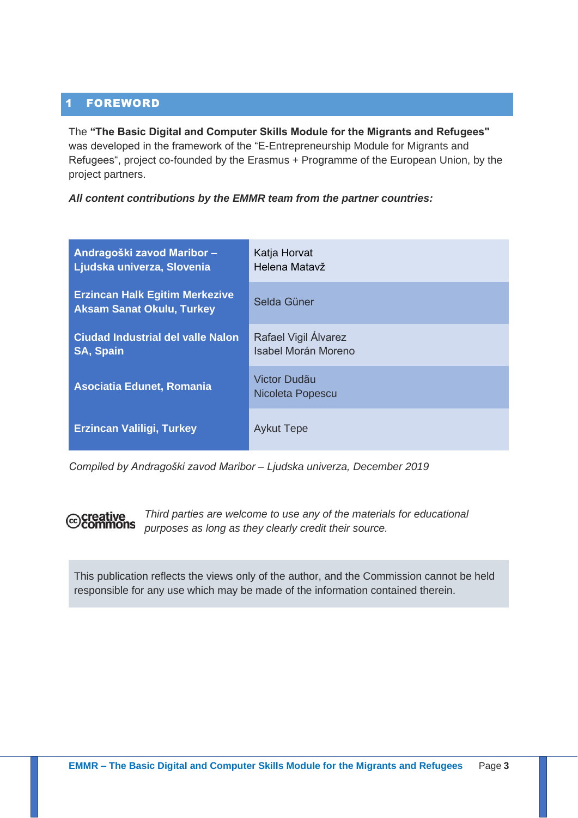## <span id="page-2-0"></span>1 FOREWORD

The **"The Basic Digital and Computer Skills Module for the Migrants and Refugees"**  was developed in the framework of the "E-Entrepreneurship Module for Migrants and Refugees", project co-founded by the Erasmus + Programme of the European Union, by the project partners.

*All content contributions by the EMMR team from the partner countries:* 

| Andragoški zavod Maribor-<br>Ljudska univerza, Slovenia                   | Katja Horvat<br>Helena Matavž               |
|---------------------------------------------------------------------------|---------------------------------------------|
| <b>Erzincan Halk Egitim Merkezive</b><br><b>Aksam Sanat Okulu, Turkey</b> | Selda Güner                                 |
| <b>Ciudad Industrial del valle Nalon</b><br><b>SA, Spain</b>              | Rafael Vigil Álvarez<br>Isabel Morán Moreno |
| <b>Asociatia Edunet, Romania</b>                                          | Victor Dudãu<br>Nicoleta Popescu            |
| <b>Erzincan Valiligi, Turkey</b>                                          | <b>Aykut Tepe</b>                           |

*Compiled by Andragoški zavod Maribor – Ljudska univerza, December 2019*



*Third parties are welcome to use any of the materials for educational purposes as long as they clearly credit their source.*

This publication reflects the views only of the author, and the Commission cannot be held responsible for any use which may be made of the information contained therein.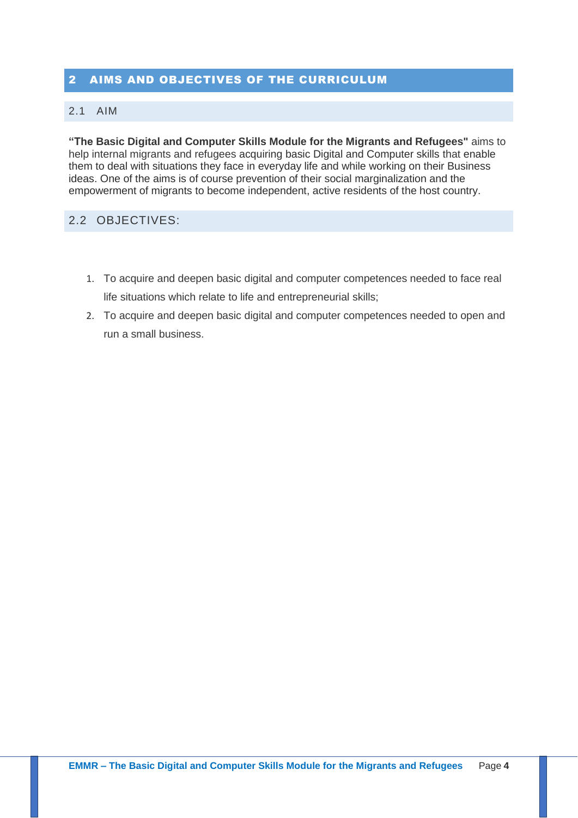## <span id="page-3-0"></span>2 AIMS AND OBJECTIVES OF THE CURRICULUM

#### <span id="page-3-1"></span>2.1 AIM

**"The Basic Digital and Computer Skills Module for the Migrants and Refugees"** aims to help internal migrants and refugees acquiring basic Digital and Computer skills that enable them to deal with situations they face in everyday life and while working on their Business ideas. One of the aims is of course prevention of their social marginalization and the empowerment of migrants to become independent, active residents of the host country.

## <span id="page-3-2"></span>2.2 OBJECTIVES:

- 1. To acquire and deepen basic digital and computer competences needed to face real life situations which relate to life and entrepreneurial skills;
- 2. To acquire and deepen basic digital and computer competences needed to open and run a small business.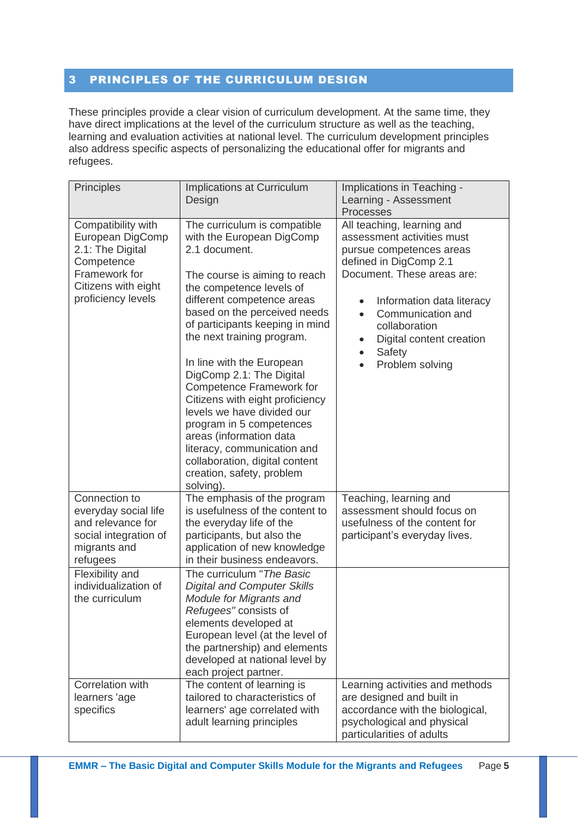## <span id="page-4-0"></span>3 PRINCIPLES OF THE CURRICULUM DESIGN

These principles provide a clear vision of curriculum development. At the same time, they have direct implications at the level of the curriculum structure as well as the teaching, learning and evaluation activities at national level. The curriculum development principles also address specific aspects of personalizing the educational offer for migrants and refugees.

| Principles                                                                                                                             | Implications at Curriculum<br>Design                                                                                                                                                                                                                                                                                                                                                                                                                                                                                                                                                                  | Implications in Teaching -<br>Learning - Assessment<br><b>Processes</b>                                                                                                                                                                                                                                         |
|----------------------------------------------------------------------------------------------------------------------------------------|-------------------------------------------------------------------------------------------------------------------------------------------------------------------------------------------------------------------------------------------------------------------------------------------------------------------------------------------------------------------------------------------------------------------------------------------------------------------------------------------------------------------------------------------------------------------------------------------------------|-----------------------------------------------------------------------------------------------------------------------------------------------------------------------------------------------------------------------------------------------------------------------------------------------------------------|
| Compatibility with<br>European DigComp<br>2.1: The Digital<br>Competence<br>Framework for<br>Citizens with eight<br>proficiency levels | The curriculum is compatible<br>with the European DigComp<br>2.1 document.<br>The course is aiming to reach<br>the competence levels of<br>different competence areas<br>based on the perceived needs<br>of participants keeping in mind<br>the next training program.<br>In line with the European<br>DigComp 2.1: The Digital<br><b>Competence Framework for</b><br>Citizens with eight proficiency<br>levels we have divided our<br>program in 5 competences<br>areas (information data<br>literacy, communication and<br>collaboration, digital content<br>creation, safety, problem<br>solving). | All teaching, learning and<br>assessment activities must<br>pursue competences areas<br>defined in DigComp 2.1<br>Document. These areas are:<br>Information data literacy<br>$\bullet$<br>Communication and<br>collaboration<br>Digital content creation<br>$\bullet$<br>Safety<br>$\bullet$<br>Problem solving |
| Connection to<br>everyday social life<br>and relevance for<br>social integration of<br>migrants and<br>refugees                        | The emphasis of the program<br>is usefulness of the content to<br>the everyday life of the<br>participants, but also the<br>application of new knowledge<br>in their business endeavors.                                                                                                                                                                                                                                                                                                                                                                                                              | Teaching, learning and<br>assessment should focus on<br>usefulness of the content for<br>participant's everyday lives.                                                                                                                                                                                          |
| Flexibility and<br>individualization of<br>the curriculum                                                                              | The curriculum "The Basic<br><b>Digital and Computer Skills</b><br>Module for Migrants and<br>Refugees" consists of<br>elements developed at<br>European level (at the level of<br>the partnership) and elements<br>developed at national level by<br>each project partner.                                                                                                                                                                                                                                                                                                                           |                                                                                                                                                                                                                                                                                                                 |
| Correlation with<br>learners 'age<br>specifics                                                                                         | The content of learning is<br>tailored to characteristics of<br>learners' age correlated with<br>adult learning principles                                                                                                                                                                                                                                                                                                                                                                                                                                                                            | Learning activities and methods<br>are designed and built in<br>accordance with the biological,<br>psychological and physical<br>particularities of adults                                                                                                                                                      |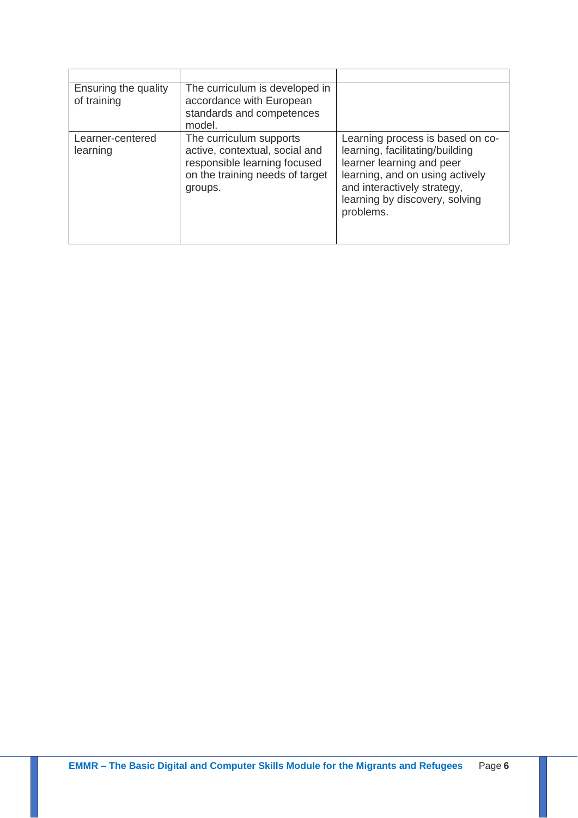| Ensuring the quality<br>of training | The curriculum is developed in<br>accordance with European<br>standards and competences<br>model.                                       |                                                                                                                                                                                                                   |
|-------------------------------------|-----------------------------------------------------------------------------------------------------------------------------------------|-------------------------------------------------------------------------------------------------------------------------------------------------------------------------------------------------------------------|
| Learner-centered<br>learning        | The curriculum supports<br>active, contextual, social and<br>responsible learning focused<br>on the training needs of target<br>groups. | Learning process is based on co-<br>learning, facilitating/building<br>learner learning and peer<br>learning, and on using actively<br>and interactively strategy,<br>learning by discovery, solving<br>problems. |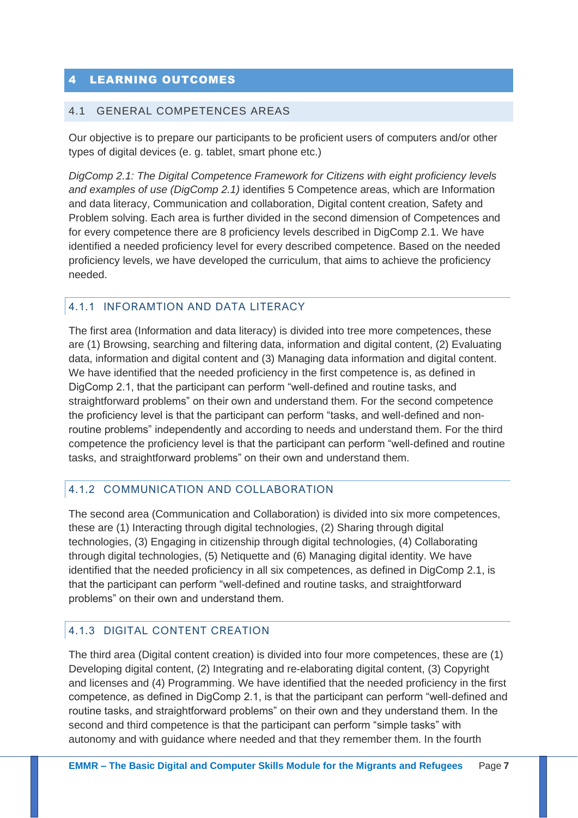## <span id="page-6-0"></span>4 LEARNING OUTCOMES

#### <span id="page-6-1"></span>4.1 GENERAL COMPETENCES AREAS

Our objective is to prepare our participants to be proficient users of computers and/or other types of digital devices (e. g. tablet, smart phone etc.)

*DigComp 2.1: The Digital Competence Framework for Citizens with eight proficiency levels and examples of use (DigComp 2.1)* identifies 5 Competence areas, which are Information and data literacy, Communication and collaboration, Digital content creation, Safety and Problem solving. Each area is further divided in the second dimension of Competences and for every competence there are 8 proficiency levels described in DigComp 2.1. We have identified a needed proficiency level for every described competence. Based on the needed proficiency levels, we have developed the curriculum, that aims to achieve the proficiency needed.

#### <span id="page-6-2"></span>4.1.1 INFORAMTION AND DATA LITERACY

The first area (Information and data literacy) is divided into tree more competences, these are (1) Browsing, searching and filtering data, information and digital content, (2) Evaluating data, information and digital content and (3) Managing data information and digital content. We have identified that the needed proficiency in the first competence is, as defined in DigComp 2.1, that the participant can perform "well-defined and routine tasks, and straightforward problems" on their own and understand them. For the second competence the proficiency level is that the participant can perform "tasks, and well-defined and nonroutine problems" independently and according to needs and understand them. For the third competence the proficiency level is that the participant can perform "well-defined and routine tasks, and straightforward problems" on their own and understand them.

### <span id="page-6-3"></span>4.1.2 COMMUNICATION AND COLLABORATION

The second area (Communication and Collaboration) is divided into six more competences, these are (1) Interacting through digital technologies, (2) Sharing through digital technologies, (3) Engaging in citizenship through digital technologies, (4) Collaborating through digital technologies, (5) Netiquette and (6) Managing digital identity. We have identified that the needed proficiency in all six competences, as defined in DigComp 2.1, is that the participant can perform "well-defined and routine tasks, and straightforward problems" on their own and understand them.

### <span id="page-6-4"></span>4.1.3 DIGITAL CONTENT CREATION

The third area (Digital content creation) is divided into four more competences, these are (1) Developing digital content, (2) Integrating and re-elaborating digital content, (3) Copyright and licenses and (4) Programming. We have identified that the needed proficiency in the first competence, as defined in DigComp 2.1, is that the participant can perform "well-defined and routine tasks, and straightforward problems" on their own and they understand them. In the second and third competence is that the participant can perform "simple tasks" with autonomy and with guidance where needed and that they remember them. In the fourth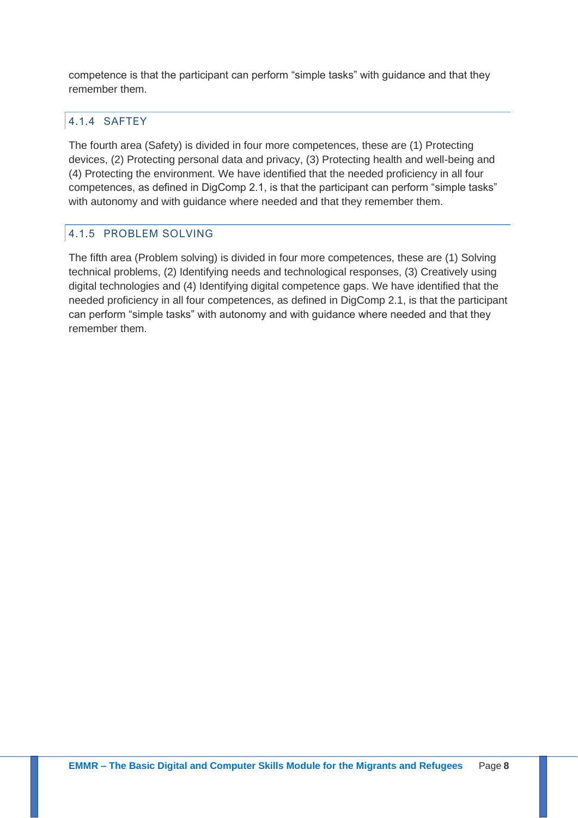competence is that the participant can perform "simple tasks" with guidance and that they remember them.

# <span id="page-7-0"></span>4.1.4 SAFTEY

The fourth area (Safety) is divided in four more competences, these are (1) Protecting devices, (2) Protecting personal data and privacy, (3) Protecting health and well-being and (4) Protecting the environment. We have identified that the needed proficiency in all four competences, as defined in DigComp 2.1, is that the participant can perform "simple tasks" with autonomy and with guidance where needed and that they remember them.

## <span id="page-7-1"></span>4.1.5 PROBLEM SOLVING

The fifth area (Problem solving) is divided in four more competences, these are (1) Solving technical problems, (2) Identifying needs and technological responses, (3) Creatively using digital technologies and (4) Identifying digital competence gaps. We have identified that the needed proficiency in all four competences, as defined in DigComp 2.1, is that the participant can perform "simple tasks" with autonomy and with guidance where needed and that they remember them.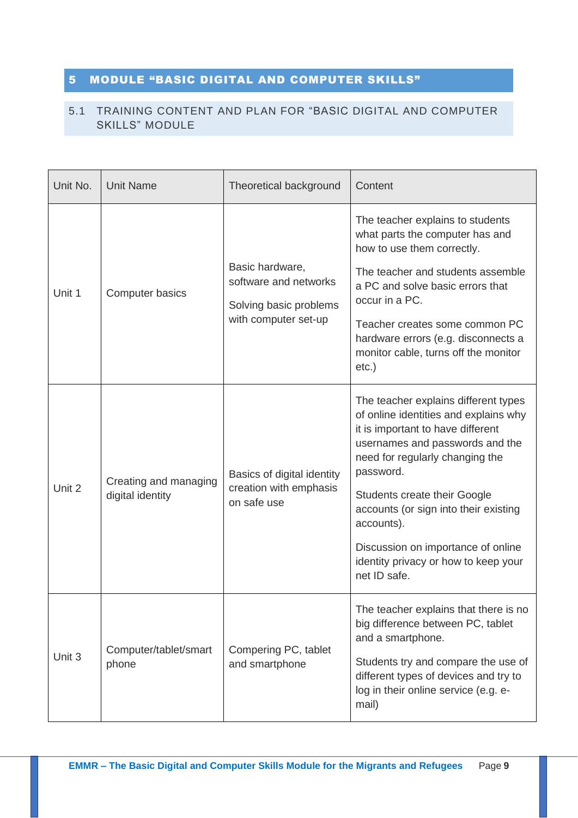# <span id="page-8-0"></span>5 MODULE "BASIC DIGITAL AND COMPUTER SKILLS"

## <span id="page-8-1"></span>5.1 TRAINING CONTENT AND PLAN FOR "BASIC DIGITAL AND COMPUTER SKILLS" MODULE

| Unit No.<br><b>Unit Name</b> |                                           | Theoretical background                                                                     | Content                                                                                                                                                                                                                                                                                                                                                                                    |
|------------------------------|-------------------------------------------|--------------------------------------------------------------------------------------------|--------------------------------------------------------------------------------------------------------------------------------------------------------------------------------------------------------------------------------------------------------------------------------------------------------------------------------------------------------------------------------------------|
| Unit 1                       | Computer basics                           | Basic hardware,<br>software and networks<br>Solving basic problems<br>with computer set-up | The teacher explains to students<br>what parts the computer has and<br>how to use them correctly.<br>The teacher and students assemble<br>a PC and solve basic errors that<br>occur in a PC.<br>Teacher creates some common PC<br>hardware errors (e.g. disconnects a<br>monitor cable, turns off the monitor<br>$etc.$ )                                                                  |
| Unit 2                       | Creating and managing<br>digital identity | Basics of digital identity<br>creation with emphasis<br>on safe use                        | The teacher explains different types<br>of online identities and explains why<br>it is important to have different<br>usernames and passwords and the<br>need for regularly changing the<br>password.<br>Students create their Google<br>accounts (or sign into their existing<br>accounts).<br>Discussion on importance of online<br>identity privacy or how to keep your<br>net ID safe. |
| Unit 3                       | Computer/tablet/smart<br>phone            | Compering PC, tablet<br>and smartphone                                                     | The teacher explains that there is no<br>big difference between PC, tablet<br>and a smartphone.<br>Students try and compare the use of<br>different types of devices and try to<br>log in their online service (e.g. e-<br>mail)                                                                                                                                                           |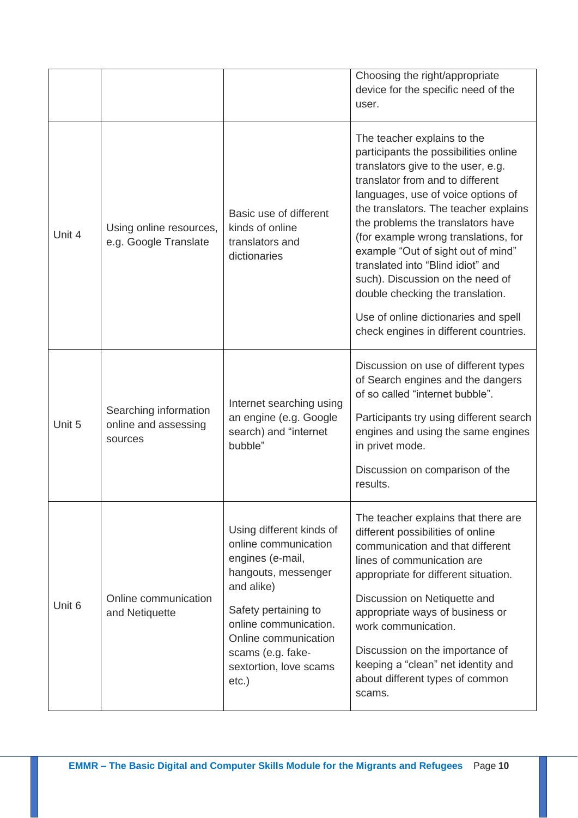|        |                                                          |                                                                                                                                                                                                                                               | Choosing the right/appropriate<br>device for the specific need of the<br>user.                                                                                                                                                                                                                                                                                                                                                                                                                                                                 |
|--------|----------------------------------------------------------|-----------------------------------------------------------------------------------------------------------------------------------------------------------------------------------------------------------------------------------------------|------------------------------------------------------------------------------------------------------------------------------------------------------------------------------------------------------------------------------------------------------------------------------------------------------------------------------------------------------------------------------------------------------------------------------------------------------------------------------------------------------------------------------------------------|
| Unit 4 | Using online resources,<br>e.g. Google Translate         | Basic use of different<br>kinds of online<br>translators and<br>dictionaries                                                                                                                                                                  | The teacher explains to the<br>participants the possibilities online<br>translators give to the user, e.g.<br>translator from and to different<br>languages, use of voice options of<br>the translators. The teacher explains<br>the problems the translators have<br>(for example wrong translations, for<br>example "Out of sight out of mind"<br>translated into "Blind idiot" and<br>such). Discussion on the need of<br>double checking the translation.<br>Use of online dictionaries and spell<br>check engines in different countries. |
| Unit 5 | Searching information<br>online and assessing<br>sources | Internet searching using<br>an engine (e.g. Google<br>search) and "internet<br>bubble"                                                                                                                                                        | Discussion on use of different types<br>of Search engines and the dangers<br>of so called "internet bubble".<br>Participants try using different search<br>engines and using the same engines<br>in privet mode.<br>Discussion on comparison of the<br>results.                                                                                                                                                                                                                                                                                |
| Unit 6 | Online communication<br>and Netiquette                   | Using different kinds of<br>online communication<br>engines (e-mail,<br>hangouts, messenger<br>and alike)<br>Safety pertaining to<br>online communication.<br>Online communication<br>scams (e.g. fake-<br>sextortion, love scams<br>$etc.$ ) | The teacher explains that there are<br>different possibilities of online<br>communication and that different<br>lines of communication are<br>appropriate for different situation.<br>Discussion on Netiquette and<br>appropriate ways of business or<br>work communication.<br>Discussion on the importance of<br>keeping a "clean" net identity and<br>about different types of common<br>scams.                                                                                                                                             |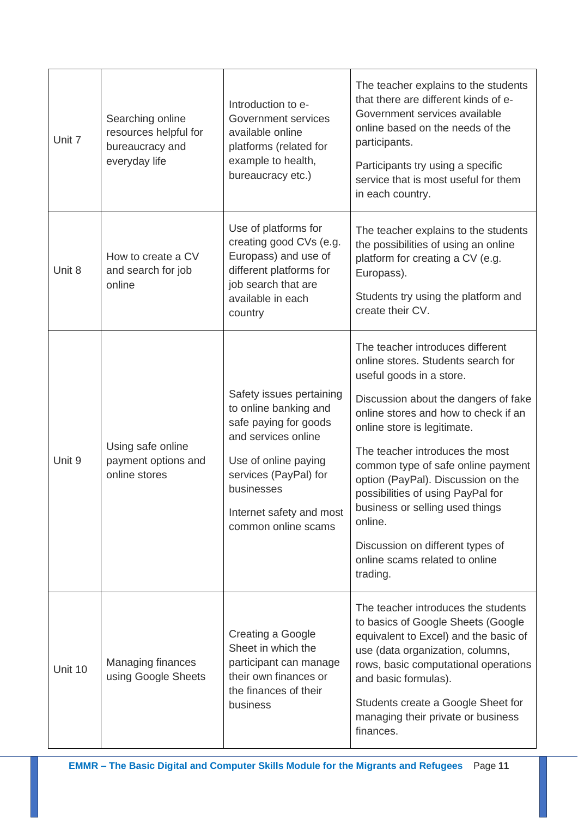| Unit 7  | Searching online<br>resources helpful for<br>bureaucracy and<br>everyday life | Introduction to e-<br>Government services<br>available online<br>platforms (related for<br>example to health,<br>bureaucracy etc.)                                                                                  | The teacher explains to the students<br>that there are different kinds of e-<br>Government services available<br>online based on the needs of the<br>participants.<br>Participants try using a specific<br>service that is most useful for them<br>in each country.                                                                                                                                                                                                                                   |
|---------|-------------------------------------------------------------------------------|---------------------------------------------------------------------------------------------------------------------------------------------------------------------------------------------------------------------|-------------------------------------------------------------------------------------------------------------------------------------------------------------------------------------------------------------------------------------------------------------------------------------------------------------------------------------------------------------------------------------------------------------------------------------------------------------------------------------------------------|
| Unit 8  | How to create a CV<br>and search for job<br>online                            | Use of platforms for<br>creating good CVs (e.g.<br>Europass) and use of<br>different platforms for<br>job search that are<br>available in each<br>country                                                           | The teacher explains to the students<br>the possibilities of using an online<br>platform for creating a CV (e.g.<br>Europass).<br>Students try using the platform and<br>create their CV.                                                                                                                                                                                                                                                                                                             |
| Unit 9  | Using safe online<br>payment options and<br>online stores                     | Safety issues pertaining<br>to online banking and<br>safe paying for goods<br>and services online<br>Use of online paying<br>services (PayPal) for<br>businesses<br>Internet safety and most<br>common online scams | The teacher introduces different<br>online stores. Students search for<br>useful goods in a store.<br>Discussion about the dangers of fake<br>online stores and how to check if an<br>online store is legitimate.<br>The teacher introduces the most<br>common type of safe online payment<br>option (PayPal). Discussion on the<br>possibilities of using PayPal for<br>business or selling used things<br>online.<br>Discussion on different types of<br>online scams related to online<br>trading. |
| Unit 10 | <b>Managing finances</b><br>using Google Sheets                               | Creating a Google<br>Sheet in which the<br>participant can manage<br>their own finances or<br>the finances of their<br>business                                                                                     | The teacher introduces the students<br>to basics of Google Sheets (Google<br>equivalent to Excel) and the basic of<br>use (data organization, columns,<br>rows, basic computational operations<br>and basic formulas).<br>Students create a Google Sheet for<br>managing their private or business<br>finances.                                                                                                                                                                                       |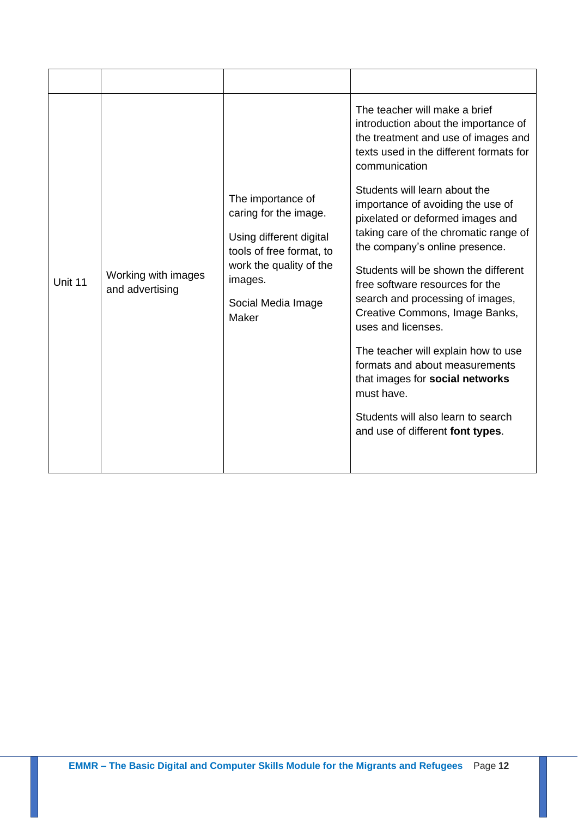|         |                                        |                                                                                                                                                                        | The teacher will make a brief<br>introduction about the importance of<br>the treatment and use of images and<br>texts used in the different formats for<br>communication |
|---------|----------------------------------------|------------------------------------------------------------------------------------------------------------------------------------------------------------------------|--------------------------------------------------------------------------------------------------------------------------------------------------------------------------|
|         |                                        | The importance of<br>caring for the image.<br>Using different digital<br>tools of free format, to<br>work the quality of the<br>images.<br>Social Media Image<br>Maker | Students will learn about the<br>importance of avoiding the use of<br>pixelated or deformed images and                                                                   |
|         |                                        |                                                                                                                                                                        | taking care of the chromatic range of<br>the company's online presence.                                                                                                  |
| Unit 11 | Working with images<br>and advertising |                                                                                                                                                                        | Students will be shown the different<br>free software resources for the                                                                                                  |
|         |                                        |                                                                                                                                                                        | search and processing of images,<br>Creative Commons, Image Banks,<br>uses and licenses.                                                                                 |
|         |                                        |                                                                                                                                                                        | The teacher will explain how to use<br>formats and about measurements<br>that images for social networks<br>must have.                                                   |
|         |                                        |                                                                                                                                                                        | Students will also learn to search<br>and use of different font types.                                                                                                   |
|         |                                        |                                                                                                                                                                        |                                                                                                                                                                          |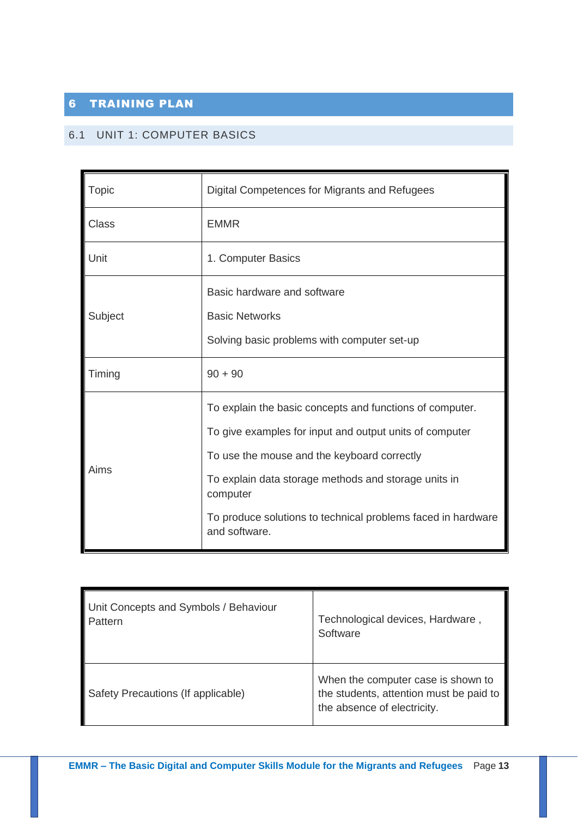# <span id="page-12-0"></span>6 TRAINING PLAN

## <span id="page-12-1"></span>6.1 UNIT 1: COMPUTER BASICS

| <b>Topic</b> | Digital Competences for Migrants and Refugees                                                                                                                                                                                                                                                                           |  |
|--------------|-------------------------------------------------------------------------------------------------------------------------------------------------------------------------------------------------------------------------------------------------------------------------------------------------------------------------|--|
| <b>Class</b> | <b>EMMR</b>                                                                                                                                                                                                                                                                                                             |  |
| Unit         | 1. Computer Basics                                                                                                                                                                                                                                                                                                      |  |
| Subject      | Basic hardware and software<br><b>Basic Networks</b><br>Solving basic problems with computer set-up                                                                                                                                                                                                                     |  |
| Timing       | $90 + 90$                                                                                                                                                                                                                                                                                                               |  |
| Aims         | To explain the basic concepts and functions of computer.<br>To give examples for input and output units of computer<br>To use the mouse and the keyboard correctly<br>To explain data storage methods and storage units in<br>computer<br>To produce solutions to technical problems faced in hardware<br>and software. |  |

| Unit Concepts and Symbols / Behaviour | Technological devices, Hardware,                                                                             |
|---------------------------------------|--------------------------------------------------------------------------------------------------------------|
| Pattern                               | Software                                                                                                     |
| Safety Precautions (If applicable)    | When the computer case is shown to<br>the students, attention must be paid to<br>the absence of electricity. |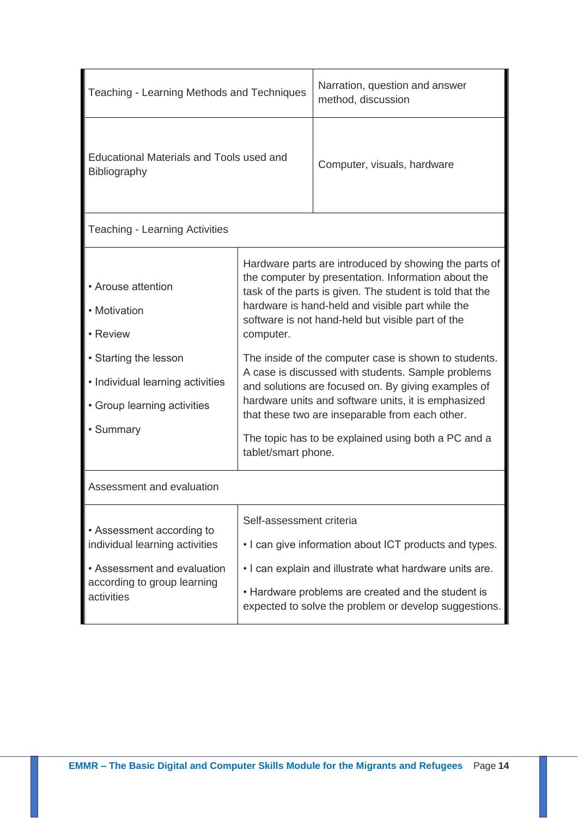| Teaching - Learning Methods and Techniques                                                                                                                          | Narration, question and answer<br>method, discussion |                                                                                                                                                                                                                                                                                                                                                                                                                                                                                                                                                                                                                          |  |
|---------------------------------------------------------------------------------------------------------------------------------------------------------------------|------------------------------------------------------|--------------------------------------------------------------------------------------------------------------------------------------------------------------------------------------------------------------------------------------------------------------------------------------------------------------------------------------------------------------------------------------------------------------------------------------------------------------------------------------------------------------------------------------------------------------------------------------------------------------------------|--|
| Educational Materials and Tools used and<br>Bibliography                                                                                                            | Computer, visuals, hardware                          |                                                                                                                                                                                                                                                                                                                                                                                                                                                                                                                                                                                                                          |  |
| <b>Teaching - Learning Activities</b>                                                                                                                               |                                                      |                                                                                                                                                                                                                                                                                                                                                                                                                                                                                                                                                                                                                          |  |
| • Arouse attention<br>• Motivation<br>• Review<br>• Starting the lesson<br>• Individual learning activities<br>• Group learning activities<br>• Summary             | computer.<br>tablet/smart phone.                     | Hardware parts are introduced by showing the parts of<br>the computer by presentation. Information about the<br>task of the parts is given. The student is told that the<br>hardware is hand-held and visible part while the<br>software is not hand-held but visible part of the<br>The inside of the computer case is shown to students.<br>A case is discussed with students. Sample problems<br>and solutions are focused on. By giving examples of<br>hardware units and software units, it is emphasized<br>that these two are inseparable from each other.<br>The topic has to be explained using both a PC and a |  |
| Assessment and evaluation                                                                                                                                           |                                                      |                                                                                                                                                                                                                                                                                                                                                                                                                                                                                                                                                                                                                          |  |
| Self-assessment criteria<br>• Assessment according to<br>individual learning activities<br>• Assessment and evaluation<br>according to group learning<br>activities |                                                      | • I can give information about ICT products and types.<br>. I can explain and illustrate what hardware units are.<br>• Hardware problems are created and the student is<br>expected to solve the problem or develop suggestions.                                                                                                                                                                                                                                                                                                                                                                                         |  |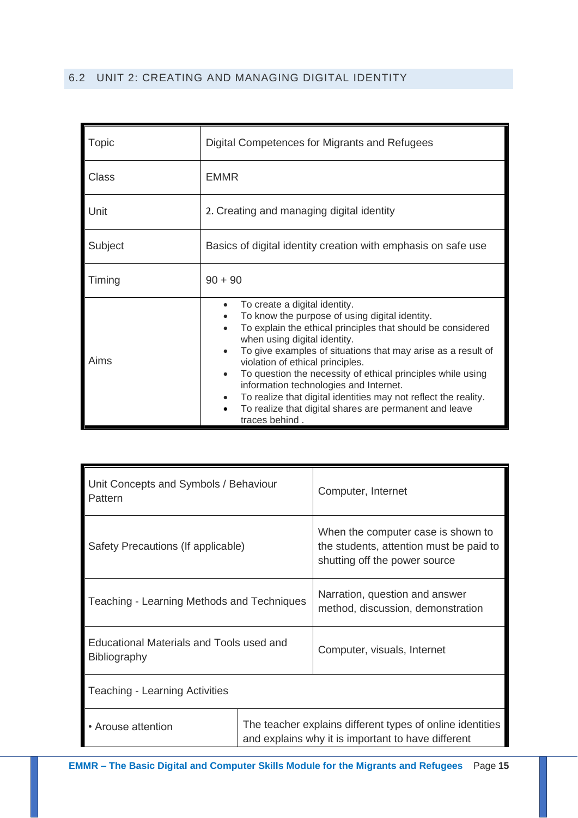## <span id="page-14-0"></span>6.2 UNIT 2: CREATING AND MANAGING DIGITAL IDENTITY

| Topic        | Digital Competences for Migrants and Refugees                                                                                                                                                                                                                                                                                                                                                                                                                                                                                                                                                                            |  |  |
|--------------|--------------------------------------------------------------------------------------------------------------------------------------------------------------------------------------------------------------------------------------------------------------------------------------------------------------------------------------------------------------------------------------------------------------------------------------------------------------------------------------------------------------------------------------------------------------------------------------------------------------------------|--|--|
| <b>Class</b> | <b>EMMR</b>                                                                                                                                                                                                                                                                                                                                                                                                                                                                                                                                                                                                              |  |  |
| Unit         | 2. Creating and managing digital identity                                                                                                                                                                                                                                                                                                                                                                                                                                                                                                                                                                                |  |  |
| Subject      | Basics of digital identity creation with emphasis on safe use                                                                                                                                                                                                                                                                                                                                                                                                                                                                                                                                                            |  |  |
| Timing       | $90 + 90$                                                                                                                                                                                                                                                                                                                                                                                                                                                                                                                                                                                                                |  |  |
| Aims         | To create a digital identity.<br>$\bullet$<br>To know the purpose of using digital identity.<br>$\bullet$<br>To explain the ethical principles that should be considered<br>when using digital identity.<br>To give examples of situations that may arise as a result of<br>$\bullet$<br>violation of ethical principles.<br>To question the necessity of ethical principles while using<br>$\bullet$<br>information technologies and Internet.<br>To realize that digital identities may not reflect the reality.<br>$\bullet$<br>To realize that digital shares are permanent and leave<br>$\bullet$<br>traces behind. |  |  |

| Unit Concepts and Symbols / Behaviour<br>Pattern                |                                                                                                                 | Computer, Internet                                                                                             |
|-----------------------------------------------------------------|-----------------------------------------------------------------------------------------------------------------|----------------------------------------------------------------------------------------------------------------|
| Safety Precautions (If applicable)                              |                                                                                                                 | When the computer case is shown to<br>the students, attention must be paid to<br>shutting off the power source |
| Teaching - Learning Methods and Techniques                      |                                                                                                                 | Narration, question and answer<br>method, discussion, demonstration                                            |
| Educational Materials and Tools used and<br><b>Bibliography</b> |                                                                                                                 | Computer, visuals, Internet                                                                                    |
| <b>Teaching - Learning Activities</b>                           |                                                                                                                 |                                                                                                                |
| • Arouse attention                                              | The teacher explains different types of online identities<br>and explains why it is important to have different |                                                                                                                |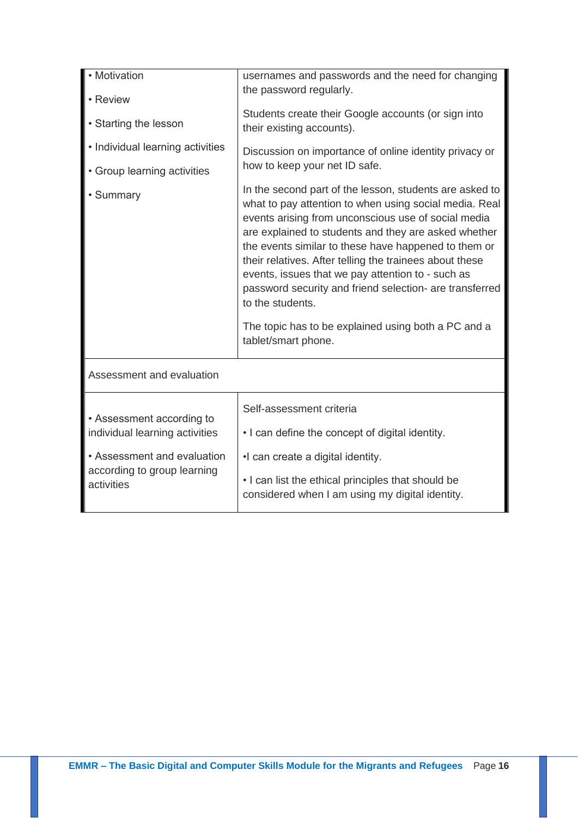| • Motivation                                                             | usernames and passwords and the need for changing<br>the password regularly.                                                                                                                                                                                                                                                                                                                                                                                                                                                                                          |  |
|--------------------------------------------------------------------------|-----------------------------------------------------------------------------------------------------------------------------------------------------------------------------------------------------------------------------------------------------------------------------------------------------------------------------------------------------------------------------------------------------------------------------------------------------------------------------------------------------------------------------------------------------------------------|--|
| • Review                                                                 |                                                                                                                                                                                                                                                                                                                                                                                                                                                                                                                                                                       |  |
| • Starting the lesson                                                    | Students create their Google accounts (or sign into<br>their existing accounts).                                                                                                                                                                                                                                                                                                                                                                                                                                                                                      |  |
| • Individual learning activities                                         | Discussion on importance of online identity privacy or                                                                                                                                                                                                                                                                                                                                                                                                                                                                                                                |  |
| • Group learning activities                                              | how to keep your net ID safe.                                                                                                                                                                                                                                                                                                                                                                                                                                                                                                                                         |  |
| • Summary                                                                | In the second part of the lesson, students are asked to<br>what to pay attention to when using social media. Real<br>events arising from unconscious use of social media<br>are explained to students and they are asked whether<br>the events similar to these have happened to them or<br>their relatives. After telling the trainees about these<br>events, issues that we pay attention to - such as<br>password security and friend selection- are transferred<br>to the students.<br>The topic has to be explained using both a PC and a<br>tablet/smart phone. |  |
|                                                                          |                                                                                                                                                                                                                                                                                                                                                                                                                                                                                                                                                                       |  |
| Assessment and evaluation                                                |                                                                                                                                                                                                                                                                                                                                                                                                                                                                                                                                                                       |  |
| • Assessment according to<br>individual learning activities              | Self-assessment criteria                                                                                                                                                                                                                                                                                                                                                                                                                                                                                                                                              |  |
|                                                                          | • I can define the concept of digital identity.                                                                                                                                                                                                                                                                                                                                                                                                                                                                                                                       |  |
| • Assessment and evaluation<br>according to group learning<br>activities | •I can create a digital identity.                                                                                                                                                                                                                                                                                                                                                                                                                                                                                                                                     |  |
|                                                                          | . I can list the ethical principles that should be<br>considered when I am using my digital identity.                                                                                                                                                                                                                                                                                                                                                                                                                                                                 |  |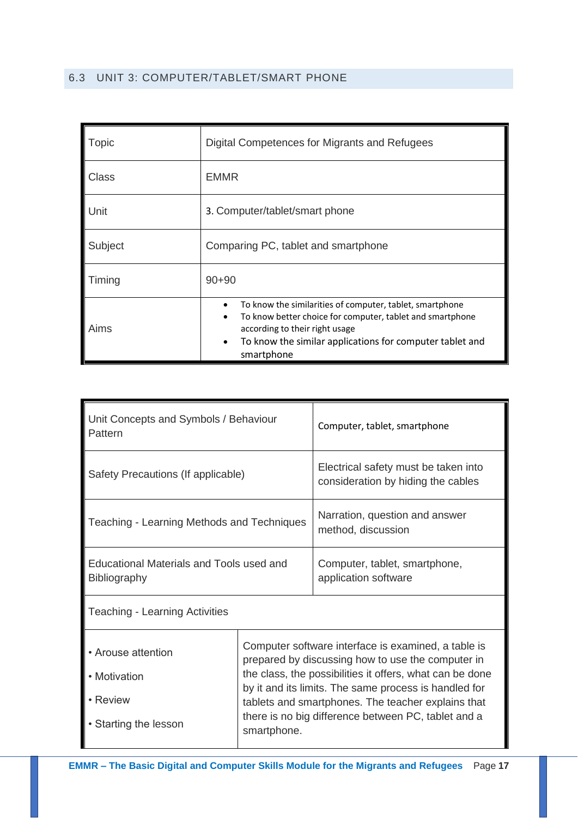## <span id="page-16-0"></span>6.3 UNIT 3: COMPUTER/TABLET/SMART PHONE

| Topic   | Digital Competences for Migrants and Refugees                                                                                                                                                                                                                            |
|---------|--------------------------------------------------------------------------------------------------------------------------------------------------------------------------------------------------------------------------------------------------------------------------|
| Class   | <b>EMMR</b>                                                                                                                                                                                                                                                              |
| Unit    | 3. Computer/tablet/smart phone                                                                                                                                                                                                                                           |
| Subject | Comparing PC, tablet and smartphone                                                                                                                                                                                                                                      |
| Timing  | $90 + 90$                                                                                                                                                                                                                                                                |
| Aims    | To know the similarities of computer, tablet, smartphone<br>$\bullet$<br>To know better choice for computer, tablet and smartphone<br>$\bullet$<br>according to their right usage<br>To know the similar applications for computer tablet and<br>$\bullet$<br>smartphone |

| Unit Concepts and Symbols / Behaviour<br>Pattern                        |                                                                                                                                                                                                                                                                                                                                                           | Computer, tablet, smartphone                                               |
|-------------------------------------------------------------------------|-----------------------------------------------------------------------------------------------------------------------------------------------------------------------------------------------------------------------------------------------------------------------------------------------------------------------------------------------------------|----------------------------------------------------------------------------|
| Safety Precautions (If applicable)                                      |                                                                                                                                                                                                                                                                                                                                                           | Electrical safety must be taken into<br>consideration by hiding the cables |
| Teaching - Learning Methods and Techniques                              |                                                                                                                                                                                                                                                                                                                                                           | Narration, question and answer<br>method, discussion                       |
| <b>Educational Materials and Tools used and</b><br><b>Bibliography</b>  |                                                                                                                                                                                                                                                                                                                                                           | Computer, tablet, smartphone,<br>application software                      |
| <b>Teaching - Learning Activities</b>                                   |                                                                                                                                                                                                                                                                                                                                                           |                                                                            |
| • Arouse attention<br>• Motivation<br>• Review<br>• Starting the lesson | Computer software interface is examined, a table is<br>prepared by discussing how to use the computer in<br>the class, the possibilities it offers, what can be done<br>by it and its limits. The same process is handled for<br>tablets and smartphones. The teacher explains that<br>there is no big difference between PC, tablet and a<br>smartphone. |                                                                            |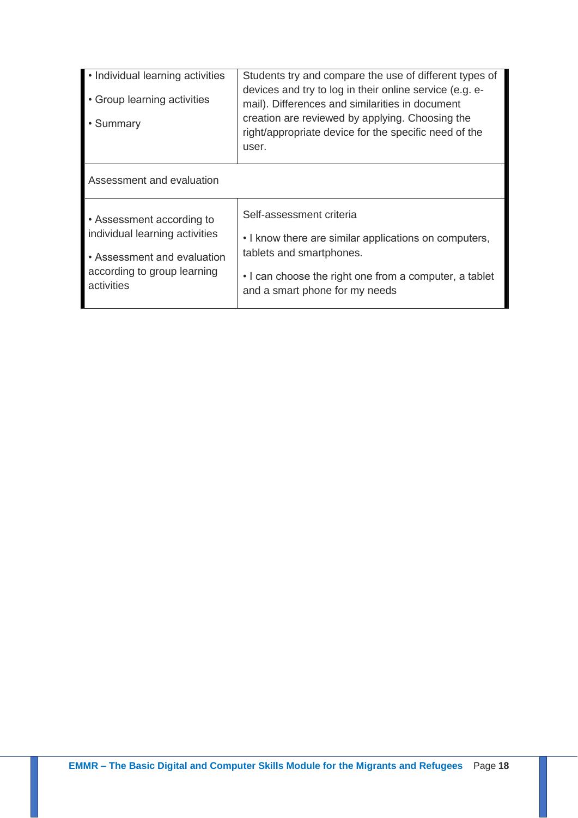| • Individual learning activities<br>• Group learning activities<br>• Summary                                                            | Students try and compare the use of different types of<br>devices and try to log in their online service (e.g. e-<br>mail). Differences and similarities in document<br>creation are reviewed by applying. Choosing the<br>right/appropriate device for the specific need of the<br>user. |
|-----------------------------------------------------------------------------------------------------------------------------------------|-------------------------------------------------------------------------------------------------------------------------------------------------------------------------------------------------------------------------------------------------------------------------------------------|
| Assessment and evaluation                                                                                                               |                                                                                                                                                                                                                                                                                           |
| • Assessment according to<br>individual learning activities<br>• Assessment and evaluation<br>according to group learning<br>activities | Self-assessment criteria<br>• I know there are similar applications on computers,<br>tablets and smartphones.<br>• I can choose the right one from a computer, a tablet<br>and a smart phone for my needs                                                                                 |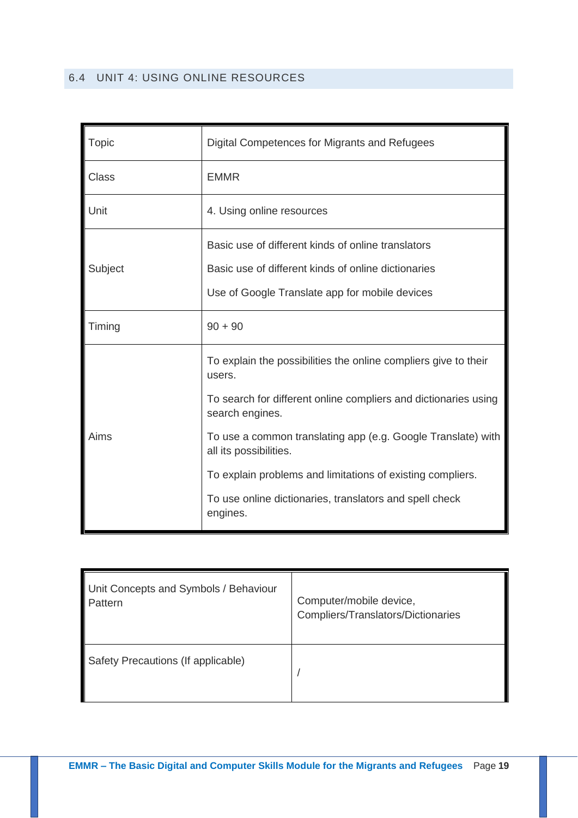<span id="page-18-0"></span>

| Topic        | Digital Competences for Migrants and Refugees                                          |
|--------------|----------------------------------------------------------------------------------------|
| <b>Class</b> | <b>EMMR</b>                                                                            |
| Unit         | 4. Using online resources                                                              |
|              | Basic use of different kinds of online translators                                     |
| Subject      | Basic use of different kinds of online dictionaries                                    |
|              | Use of Google Translate app for mobile devices                                         |
| Timing       | $90 + 90$                                                                              |
|              | To explain the possibilities the online compliers give to their<br>users.              |
|              | To search for different online compliers and dictionaries using<br>search engines.     |
| Aims         | To use a common translating app (e.g. Google Translate) with<br>all its possibilities. |
|              | To explain problems and limitations of existing compliers.                             |
|              | To use online dictionaries, translators and spell check<br>engines.                    |

| Unit Concepts and Symbols / Behaviour | Computer/mobile device,            |
|---------------------------------------|------------------------------------|
| Pattern                               | Compliers/Translators/Dictionaries |
| Safety Precautions (If applicable)    |                                    |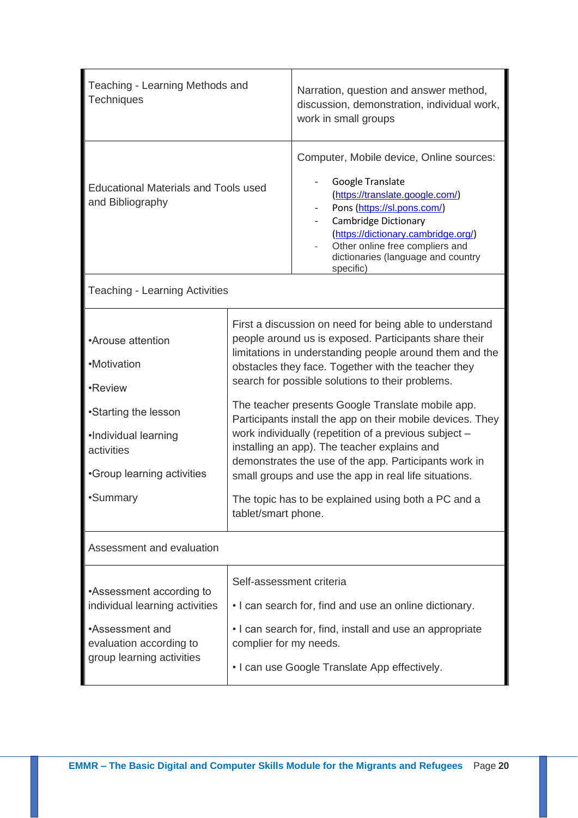| Teaching - Learning Methods and<br><b>Techniques</b>                                                                                                |                                                                                                                                                                                                                                                                                                                                                                                                                                                                                                                                                                                                                                                                                                                    | Narration, question and answer method,<br>discussion, demonstration, individual work,<br>work in small groups                                                                                                                                                                              |
|-----------------------------------------------------------------------------------------------------------------------------------------------------|--------------------------------------------------------------------------------------------------------------------------------------------------------------------------------------------------------------------------------------------------------------------------------------------------------------------------------------------------------------------------------------------------------------------------------------------------------------------------------------------------------------------------------------------------------------------------------------------------------------------------------------------------------------------------------------------------------------------|--------------------------------------------------------------------------------------------------------------------------------------------------------------------------------------------------------------------------------------------------------------------------------------------|
| <b>Educational Materials and Tools used</b><br>and Bibliography                                                                                     |                                                                                                                                                                                                                                                                                                                                                                                                                                                                                                                                                                                                                                                                                                                    | Computer, Mobile device, Online sources:<br>Google Translate<br>(https://translate.google.com/)<br>Pons (https://sl.pons.com/)<br><b>Cambridge Dictionary</b><br>(https://dictionary.cambridge.org/)<br>Other online free compliers and<br>dictionaries (language and country<br>specific) |
| <b>Teaching - Learning Activities</b>                                                                                                               |                                                                                                                                                                                                                                                                                                                                                                                                                                                                                                                                                                                                                                                                                                                    |                                                                                                                                                                                                                                                                                            |
| •Arouse attention<br>•Motivation<br>•Review<br>•Starting the lesson<br>·Individual learning<br>activities<br>•Group learning activities<br>•Summary | First a discussion on need for being able to understand<br>people around us is exposed. Participants share their<br>limitations in understanding people around them and the<br>obstacles they face. Together with the teacher they<br>search for possible solutions to their problems.<br>The teacher presents Google Translate mobile app.<br>Participants install the app on their mobile devices. They<br>work individually (repetition of a previous subject -<br>installing an app). The teacher explains and<br>demonstrates the use of the app. Participants work in<br>small groups and use the app in real life situations.<br>The topic has to be explained using both a PC and a<br>tablet/smart phone. |                                                                                                                                                                                                                                                                                            |
| Assessment and evaluation                                                                                                                           |                                                                                                                                                                                                                                                                                                                                                                                                                                                                                                                                                                                                                                                                                                                    |                                                                                                                                                                                                                                                                                            |
| •Assessment according to<br>individual learning activities<br>•Assessment and<br>evaluation according to<br>group learning activities               | Self-assessment criteria<br>complier for my needs.                                                                                                                                                                                                                                                                                                                                                                                                                                                                                                                                                                                                                                                                 | • I can search for, find and use an online dictionary.<br>• I can search for, find, install and use an appropriate<br>• I can use Google Translate App effectively.                                                                                                                        |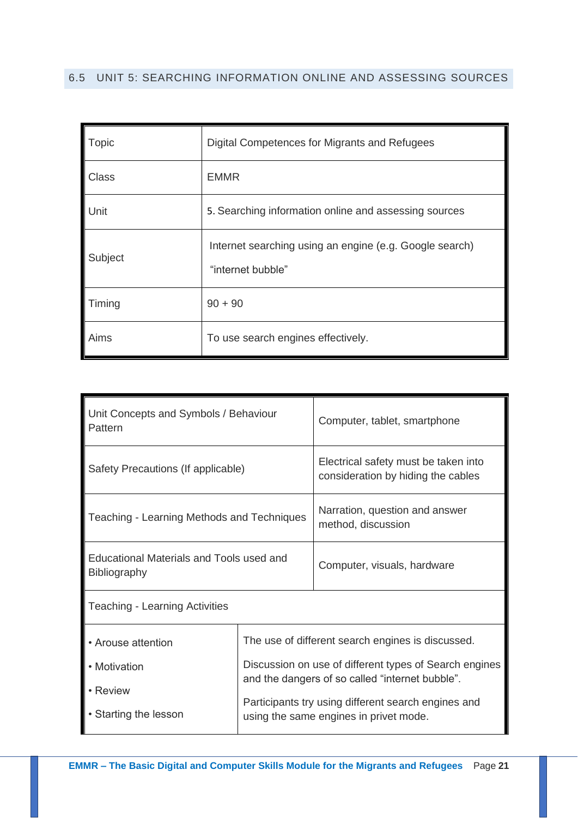# <span id="page-20-0"></span>6.5 UNIT 5: SEARCHING INFORMATION ONLINE AND ASSESSING SOURCES

| <b>Topic</b> | Digital Competences for Migrants and Refugees                                |
|--------------|------------------------------------------------------------------------------|
| Class        | <b>EMMR</b>                                                                  |
| Unit         | 5. Searching information online and assessing sources                        |
| Subject      | Internet searching using an engine (e.g. Google search)<br>"internet bubble" |
| Timing       | $90 + 90$                                                                    |
| Aims         | To use search engines effectively.                                           |

| Unit Concepts and Symbols / Behaviour<br>Pattern                |                                                                                                                                                                | Computer, tablet, smartphone                                                                  |
|-----------------------------------------------------------------|----------------------------------------------------------------------------------------------------------------------------------------------------------------|-----------------------------------------------------------------------------------------------|
| Safety Precautions (If applicable)                              |                                                                                                                                                                | Electrical safety must be taken into<br>consideration by hiding the cables                    |
| Teaching - Learning Methods and Techniques                      |                                                                                                                                                                | Narration, question and answer<br>method, discussion                                          |
| Educational Materials and Tools used and<br><b>Bibliography</b> |                                                                                                                                                                | Computer, visuals, hardware                                                                   |
| <b>Teaching - Learning Activities</b>                           |                                                                                                                                                                |                                                                                               |
| • Arouse attention                                              | The use of different search engines is discussed.<br>Discussion on use of different types of Search engines<br>and the dangers of so called "internet bubble". |                                                                                               |
| • Motivation                                                    |                                                                                                                                                                |                                                                                               |
| • Review<br>• Starting the lesson                               |                                                                                                                                                                | Participants try using different search engines and<br>using the same engines in privet mode. |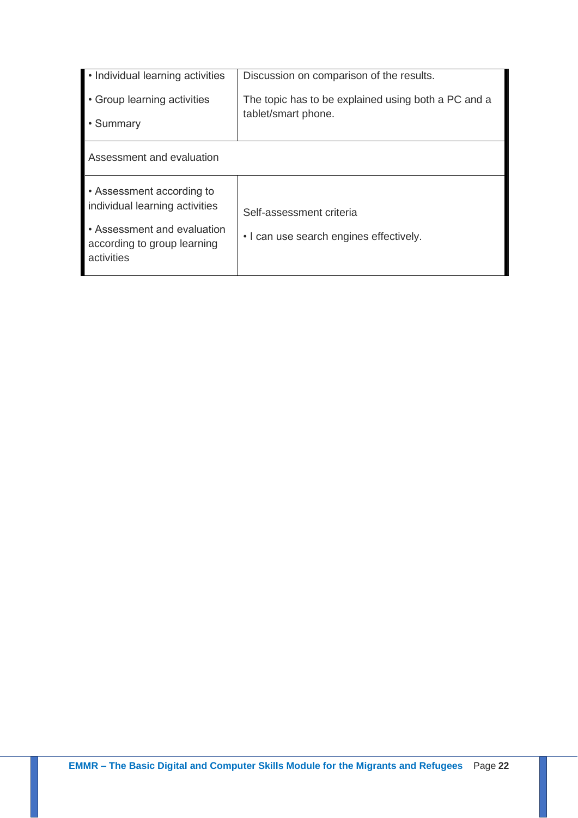| • Individual learning activities<br>• Group learning activities          | Discussion on comparison of the results.<br>The topic has to be explained using both a PC and a |  |
|--------------------------------------------------------------------------|-------------------------------------------------------------------------------------------------|--|
| • Summary                                                                | tablet/smart phone.                                                                             |  |
| Assessment and evaluation                                                |                                                                                                 |  |
| • Assessment according to<br>individual learning activities              | Self-assessment criteria                                                                        |  |
| • Assessment and evaluation<br>according to group learning<br>activities | • I can use search engines effectively.                                                         |  |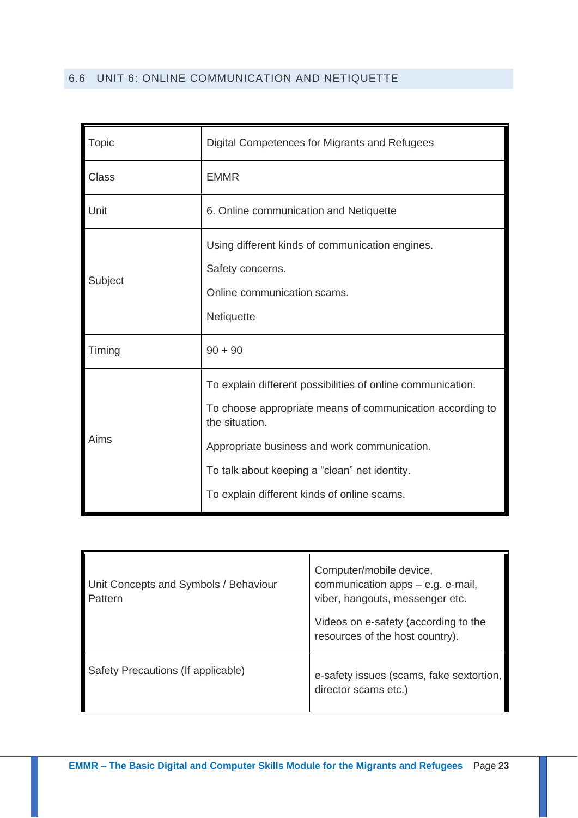## <span id="page-22-0"></span>6.6 UNIT 6: ONLINE COMMUNICATION AND NETIQUETTE

| Topic        | Digital Competences for Migrants and Refugees                                                                                                                                                                                                                                              |
|--------------|--------------------------------------------------------------------------------------------------------------------------------------------------------------------------------------------------------------------------------------------------------------------------------------------|
| <b>Class</b> | <b>EMMR</b>                                                                                                                                                                                                                                                                                |
| Unit         | 6. Online communication and Netiquette                                                                                                                                                                                                                                                     |
| Subject      | Using different kinds of communication engines.<br>Safety concerns.<br>Online communication scams.<br>Netiquette                                                                                                                                                                           |
| Timing       | $90 + 90$                                                                                                                                                                                                                                                                                  |
| Aims         | To explain different possibilities of online communication.<br>To choose appropriate means of communication according to<br>the situation.<br>Appropriate business and work communication.<br>To talk about keeping a "clean" net identity.<br>To explain different kinds of online scams. |

| Unit Concepts and Symbols / Behaviour<br>Pattern | Computer/mobile device,<br>communication apps - e.g. e-mail,<br>viber, hangouts, messenger etc.<br>Videos on e-safety (according to the<br>resources of the host country). |
|--------------------------------------------------|----------------------------------------------------------------------------------------------------------------------------------------------------------------------------|
| Safety Precautions (If applicable)               | e-safety issues (scams, fake sextortion,<br>director scams etc.)                                                                                                           |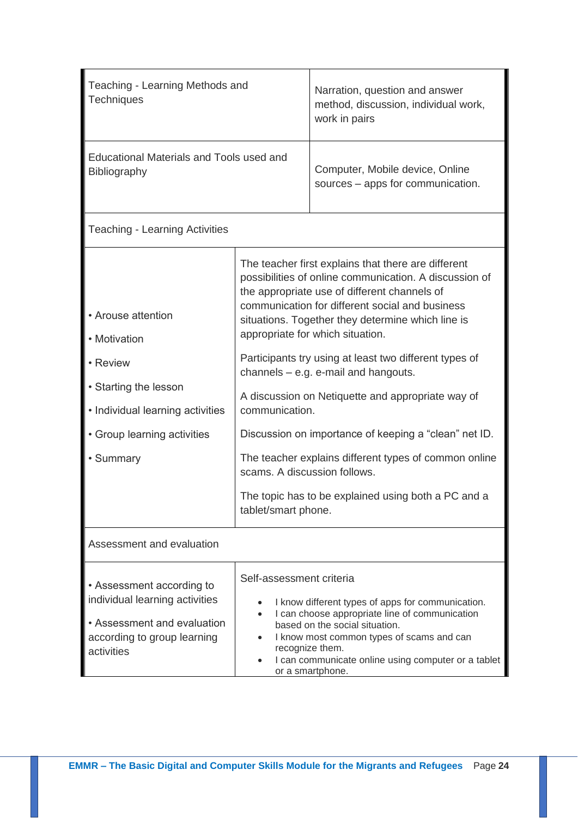| Teaching - Learning Methods and<br><b>Techniques</b>                                                                                                    |                                                                       | Narration, question and answer<br>method, discussion, individual work,<br>work in pairs                                                                                                                                                                                                                                                                                                                                                                                                                                                                                                                                                     |
|---------------------------------------------------------------------------------------------------------------------------------------------------------|-----------------------------------------------------------------------|---------------------------------------------------------------------------------------------------------------------------------------------------------------------------------------------------------------------------------------------------------------------------------------------------------------------------------------------------------------------------------------------------------------------------------------------------------------------------------------------------------------------------------------------------------------------------------------------------------------------------------------------|
| Educational Materials and Tools used and<br>Bibliography                                                                                                |                                                                       | Computer, Mobile device, Online<br>sources - apps for communication.                                                                                                                                                                                                                                                                                                                                                                                                                                                                                                                                                                        |
| <b>Teaching - Learning Activities</b>                                                                                                                   |                                                                       |                                                                                                                                                                                                                                                                                                                                                                                                                                                                                                                                                                                                                                             |
| • Arouse attention<br>• Motivation<br>• Review<br>• Starting the lesson<br>• Individual learning activities<br>• Group learning activities<br>• Summary | communication.<br>scams. A discussion follows.<br>tablet/smart phone. | The teacher first explains that there are different<br>possibilities of online communication. A discussion of<br>the appropriate use of different channels of<br>communication for different social and business<br>situations. Together they determine which line is<br>appropriate for which situation.<br>Participants try using at least two different types of<br>channels $-$ e.g. e-mail and hangouts.<br>A discussion on Netiquette and appropriate way of<br>Discussion on importance of keeping a "clean" net ID.<br>The teacher explains different types of common online<br>The topic has to be explained using both a PC and a |
| Assessment and evaluation                                                                                                                               |                                                                       |                                                                                                                                                                                                                                                                                                                                                                                                                                                                                                                                                                                                                                             |
| • Assessment according to<br>individual learning activities<br>• Assessment and evaluation<br>according to group learning<br>activities                 | Self-assessment criteria<br>$\bullet$<br>$\bullet$<br>$\bullet$       | I know different types of apps for communication.<br>I can choose appropriate line of communication<br>based on the social situation.<br>I know most common types of scams and can<br>recognize them.<br>I can communicate online using computer or a tablet<br>or a smartphone.                                                                                                                                                                                                                                                                                                                                                            |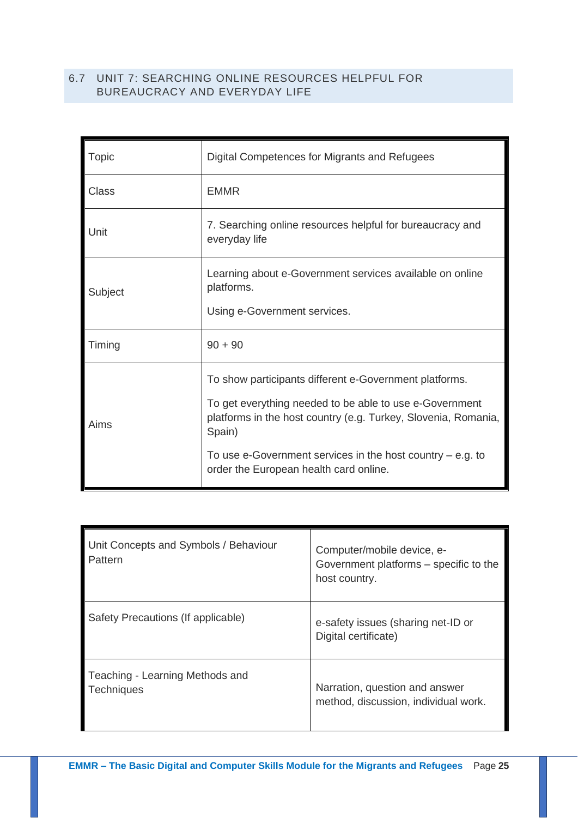## <span id="page-24-0"></span>6.7 UNIT 7: SEARCHING ONLINE RESOURCES HELPFUL FOR BUREAUCRACY AND EVERYDAY LIFE

| Topic        | Digital Competences for Migrants and Refugees                                                                                                                                                                                                                                                           |
|--------------|---------------------------------------------------------------------------------------------------------------------------------------------------------------------------------------------------------------------------------------------------------------------------------------------------------|
| <b>Class</b> | <b>EMMR</b>                                                                                                                                                                                                                                                                                             |
| Unit         | 7. Searching online resources helpful for bureaucracy and<br>everyday life                                                                                                                                                                                                                              |
| Subject      | Learning about e-Government services available on online<br>platforms.<br>Using e-Government services.                                                                                                                                                                                                  |
| Timing       | $90 + 90$                                                                                                                                                                                                                                                                                               |
| Aims         | To show participants different e-Government platforms.<br>To get everything needed to be able to use e-Government<br>platforms in the host country (e.g. Turkey, Slovenia, Romania,<br>Spain)<br>To use e-Government services in the host country $-$ e.g. to<br>order the European health card online. |

| Unit Concepts and Symbols / Behaviour<br>Pattern     | Computer/mobile device, e-<br>Government platforms – specific to the<br>host country. |
|------------------------------------------------------|---------------------------------------------------------------------------------------|
| Safety Precautions (If applicable)                   | e-safety issues (sharing net-ID or<br>Digital certificate)                            |
| Teaching - Learning Methods and<br><b>Techniques</b> | Narration, question and answer<br>method, discussion, individual work.                |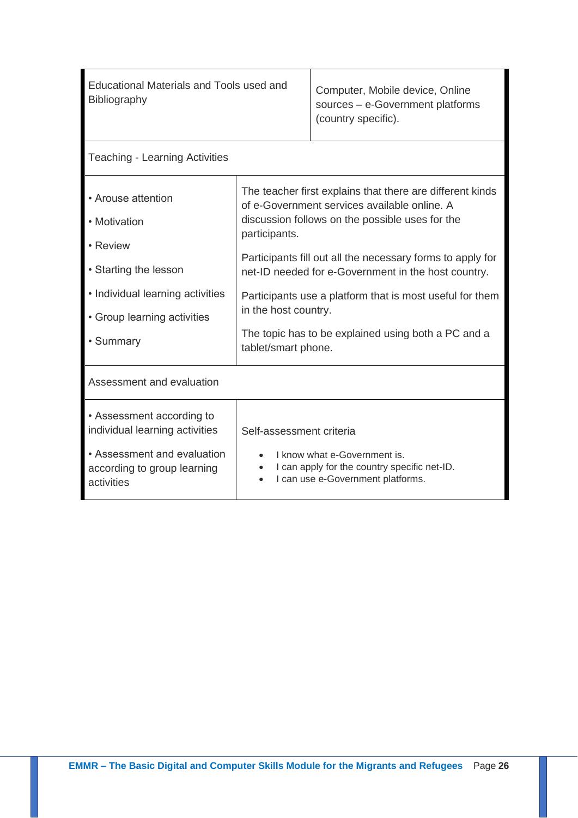| Educational Materials and Tools used and<br><b>Bibliography</b>                                                                                         |                                                                                                                                                                                                                                                                                                                                                                                                                                                                      | Computer, Mobile device, Online<br>sources - e-Government platforms<br>(country specific).                        |
|---------------------------------------------------------------------------------------------------------------------------------------------------------|----------------------------------------------------------------------------------------------------------------------------------------------------------------------------------------------------------------------------------------------------------------------------------------------------------------------------------------------------------------------------------------------------------------------------------------------------------------------|-------------------------------------------------------------------------------------------------------------------|
| <b>Teaching - Learning Activities</b>                                                                                                                   |                                                                                                                                                                                                                                                                                                                                                                                                                                                                      |                                                                                                                   |
| • Arouse attention<br>• Motivation<br>• Review<br>• Starting the lesson<br>• Individual learning activities<br>• Group learning activities<br>• Summary | The teacher first explains that there are different kinds<br>of e-Government services available online. A<br>discussion follows on the possible uses for the<br>participants.<br>Participants fill out all the necessary forms to apply for<br>net-ID needed for e-Government in the host country.<br>Participants use a platform that is most useful for them<br>in the host country.<br>The topic has to be explained using both a PC and a<br>tablet/smart phone. |                                                                                                                   |
| Assessment and evaluation                                                                                                                               |                                                                                                                                                                                                                                                                                                                                                                                                                                                                      |                                                                                                                   |
| • Assessment according to<br>individual learning activities<br>• Assessment and evaluation<br>according to group learning<br>activities                 | Self-assessment criteria                                                                                                                                                                                                                                                                                                                                                                                                                                             | I know what e-Government is.<br>I can apply for the country specific net-ID.<br>I can use e-Government platforms. |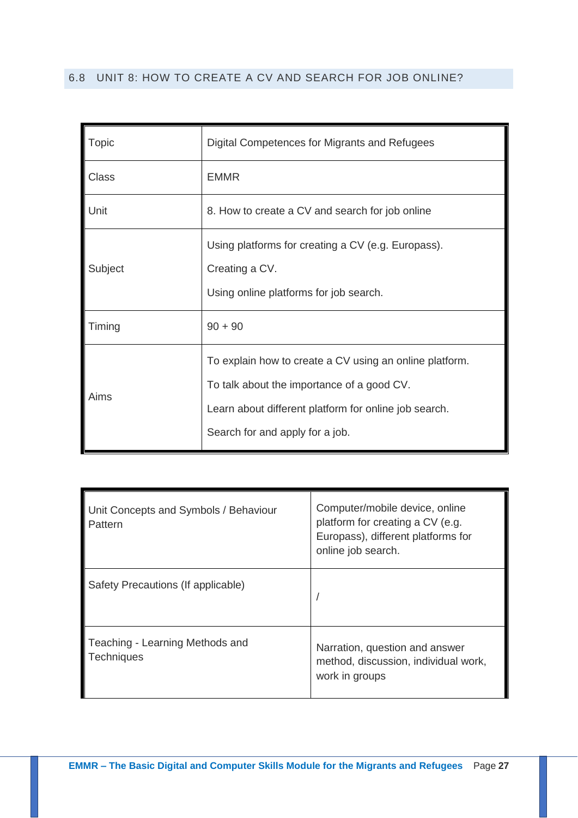## <span id="page-26-0"></span>6.8 UNIT 8: HOW TO CREATE A CV AND SEARCH FOR JOB ONLINE?

| <b>Topic</b> | Digital Competences for Migrants and Refugees                                                                                                                                                     |
|--------------|---------------------------------------------------------------------------------------------------------------------------------------------------------------------------------------------------|
| <b>Class</b> | <b>EMMR</b>                                                                                                                                                                                       |
| Unit         | 8. How to create a CV and search for job online                                                                                                                                                   |
| Subject      | Using platforms for creating a CV (e.g. Europass).<br>Creating a CV.<br>Using online platforms for job search.                                                                                    |
| Timing       | $90 + 90$                                                                                                                                                                                         |
| Aims         | To explain how to create a CV using an online platform.<br>To talk about the importance of a good CV.<br>Learn about different platform for online job search.<br>Search for and apply for a job. |

| Unit Concepts and Symbols / Behaviour<br>Pattern     | Computer/mobile device, online<br>platform for creating a CV (e.g.<br>Europass), different platforms for<br>online job search. |
|------------------------------------------------------|--------------------------------------------------------------------------------------------------------------------------------|
| Safety Precautions (If applicable)                   |                                                                                                                                |
| Teaching - Learning Methods and<br><b>Techniques</b> | Narration, question and answer<br>method, discussion, individual work,<br>work in groups                                       |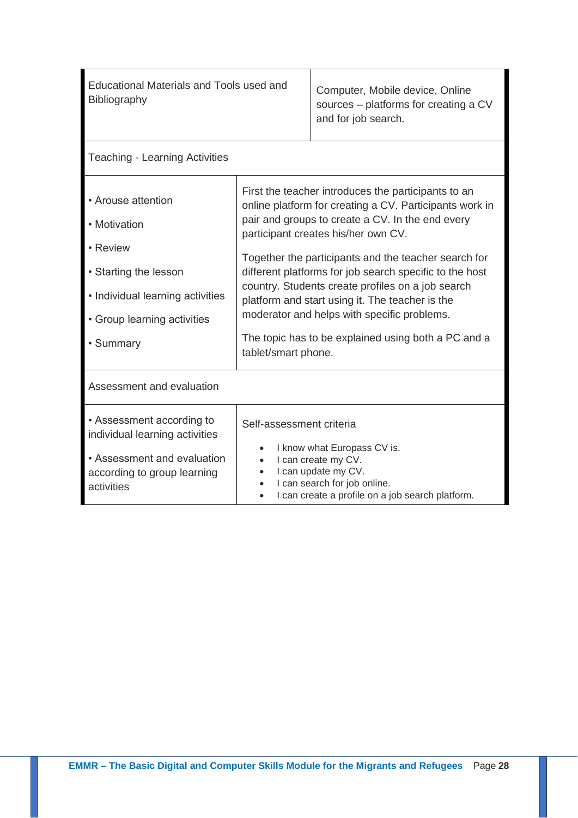| Educational Materials and Tools used and<br>Bibliography                                                                                                |                                                                                                                                                                                                                                                                                                                                                                                                                                                                                                                                                                   | Computer, Mobile device, Online<br>sources – platforms for creating a CV<br>and for job search.                                                               |
|---------------------------------------------------------------------------------------------------------------------------------------------------------|-------------------------------------------------------------------------------------------------------------------------------------------------------------------------------------------------------------------------------------------------------------------------------------------------------------------------------------------------------------------------------------------------------------------------------------------------------------------------------------------------------------------------------------------------------------------|---------------------------------------------------------------------------------------------------------------------------------------------------------------|
| <b>Teaching - Learning Activities</b>                                                                                                                   |                                                                                                                                                                                                                                                                                                                                                                                                                                                                                                                                                                   |                                                                                                                                                               |
| • Arouse attention<br>• Motivation<br>• Review<br>• Starting the lesson<br>• Individual learning activities<br>• Group learning activities<br>• Summary | First the teacher introduces the participants to an<br>online platform for creating a CV. Participants work in<br>pair and groups to create a CV. In the end every<br>participant creates his/her own CV.<br>Together the participants and the teacher search for<br>different platforms for job search specific to the host<br>country. Students create profiles on a job search<br>platform and start using it. The teacher is the<br>moderator and helps with specific problems.<br>The topic has to be explained using both a PC and a<br>tablet/smart phone. |                                                                                                                                                               |
| Assessment and evaluation                                                                                                                               |                                                                                                                                                                                                                                                                                                                                                                                                                                                                                                                                                                   |                                                                                                                                                               |
| • Assessment according to<br>individual learning activities<br>• Assessment and evaluation<br>according to group learning<br>activities                 | Self-assessment criteria<br>$\bullet$                                                                                                                                                                                                                                                                                                                                                                                                                                                                                                                             | I know what Europass CV is.<br>I can create my CV.<br>I can update my CV.<br>I can search for job online.<br>I can create a profile on a job search platform. |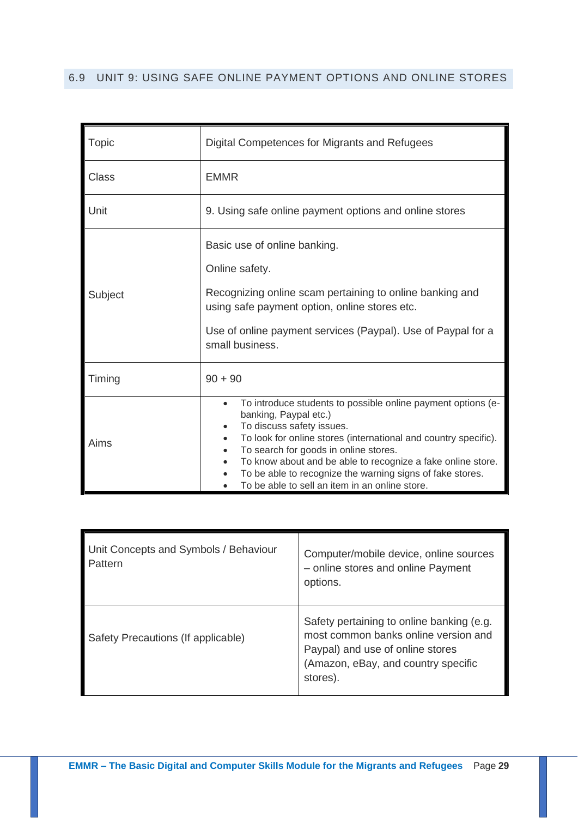# <span id="page-28-0"></span>6.9 UNIT 9: USING SAFE ONLINE PAYMENT OPTIONS AND ONLINE STORES

| Topic   | Digital Competences for Migrants and Refugees                                                                                                                                                                                                                                                                                                                                                                                                                    |  |
|---------|------------------------------------------------------------------------------------------------------------------------------------------------------------------------------------------------------------------------------------------------------------------------------------------------------------------------------------------------------------------------------------------------------------------------------------------------------------------|--|
| Class   | <b>EMMR</b>                                                                                                                                                                                                                                                                                                                                                                                                                                                      |  |
| Unit    | 9. Using safe online payment options and online stores                                                                                                                                                                                                                                                                                                                                                                                                           |  |
| Subject | Basic use of online banking.<br>Online safety.<br>Recognizing online scam pertaining to online banking and<br>using safe payment option, online stores etc.<br>Use of online payment services (Paypal). Use of Paypal for a<br>small business.                                                                                                                                                                                                                   |  |
| Timing  | $90 + 90$                                                                                                                                                                                                                                                                                                                                                                                                                                                        |  |
| Aims    | To introduce students to possible online payment options (e-<br>$\bullet$<br>banking, Paypal etc.)<br>To discuss safety issues.<br>$\bullet$<br>To look for online stores (international and country specific).<br>$\bullet$<br>To search for goods in online stores.<br>$\bullet$<br>To know about and be able to recognize a fake online store.<br>To be able to recognize the warning signs of fake stores.<br>To be able to sell an item in an online store. |  |

| Unit Concepts and Symbols / Behaviour<br>Pattern | Computer/mobile device, online sources<br>- online stores and online Payment<br>options.                                                                                 |
|--------------------------------------------------|--------------------------------------------------------------------------------------------------------------------------------------------------------------------------|
| Safety Precautions (If applicable)               | Safety pertaining to online banking (e.g.<br>most common banks online version and<br>Paypal) and use of online stores<br>(Amazon, eBay, and country specific<br>stores). |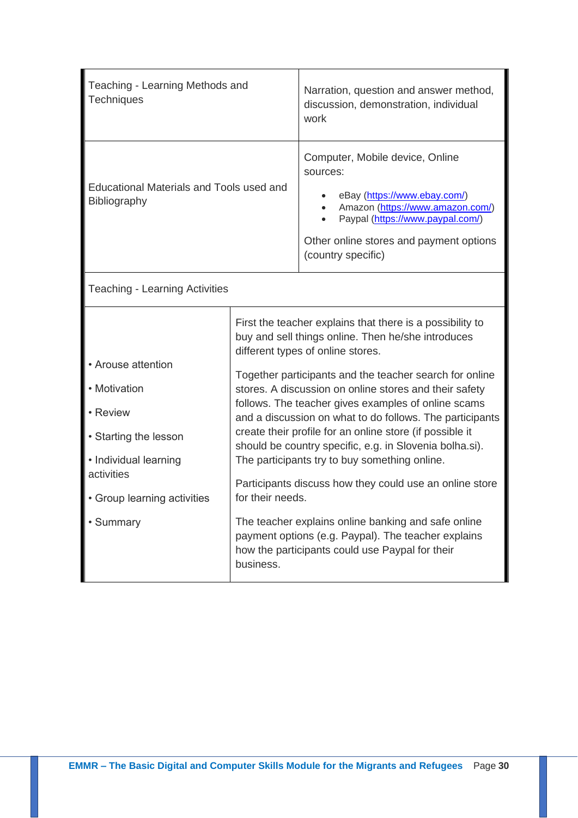| Teaching - Learning Methods and<br><b>Techniques</b>                                                                                                     |                               | Narration, question and answer method,<br>discussion, demonstration, individual<br>work                                                                                                                                                                                                                                                                                                                                                                                                                                                                                                                                                                                                                                                                                                          |
|----------------------------------------------------------------------------------------------------------------------------------------------------------|-------------------------------|--------------------------------------------------------------------------------------------------------------------------------------------------------------------------------------------------------------------------------------------------------------------------------------------------------------------------------------------------------------------------------------------------------------------------------------------------------------------------------------------------------------------------------------------------------------------------------------------------------------------------------------------------------------------------------------------------------------------------------------------------------------------------------------------------|
| Educational Materials and Tools used and<br>Bibliography                                                                                                 |                               | Computer, Mobile device, Online<br>sources:<br>eBay (https://www.ebay.com/)<br>Amazon (https://www.amazon.com/)<br>Paypal (https://www.paypal.com/)<br>Other online stores and payment options<br>(country specific)                                                                                                                                                                                                                                                                                                                                                                                                                                                                                                                                                                             |
| <b>Teaching - Learning Activities</b>                                                                                                                    |                               |                                                                                                                                                                                                                                                                                                                                                                                                                                                                                                                                                                                                                                                                                                                                                                                                  |
| • Arouse attention<br>• Motivation<br>• Review<br>• Starting the lesson<br>• Individual learning<br>activities<br>• Group learning activities<br>Summary | for their needs.<br>business. | First the teacher explains that there is a possibility to<br>buy and sell things online. Then he/she introduces<br>different types of online stores.<br>Together participants and the teacher search for online<br>stores. A discussion on online stores and their safety<br>follows. The teacher gives examples of online scams<br>and a discussion on what to do follows. The participants<br>create their profile for an online store (if possible it<br>should be country specific, e.g. in Slovenia bolha.si).<br>The participants try to buy something online.<br>Participants discuss how they could use an online store<br>The teacher explains online banking and safe online<br>payment options (e.g. Paypal). The teacher explains<br>how the participants could use Paypal for their |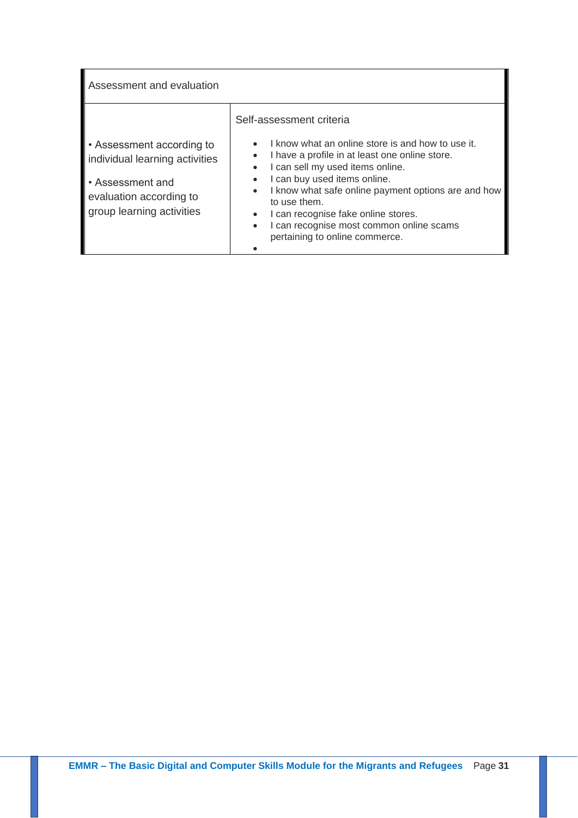| Assessment and evaluation                                                |                                                                                                                                                                                                                                                                              |
|--------------------------------------------------------------------------|------------------------------------------------------------------------------------------------------------------------------------------------------------------------------------------------------------------------------------------------------------------------------|
|                                                                          | Self-assessment criteria                                                                                                                                                                                                                                                     |
| • Assessment according to<br>individual learning activities              | I know what an online store is and how to use it.<br>$\bullet$<br>I have a profile in at least one online store.<br>$\bullet$<br>I can sell my used items online.<br>$\bullet$                                                                                               |
| • Assessment and<br>evaluation according to<br>group learning activities | I can buy used items online.<br>$\bullet$<br>I know what safe online payment options are and how<br>$\bullet$<br>to use them.<br>I can recognise fake online stores.<br>$\bullet$<br>I can recognise most common online scams<br>$\bullet$<br>pertaining to online commerce. |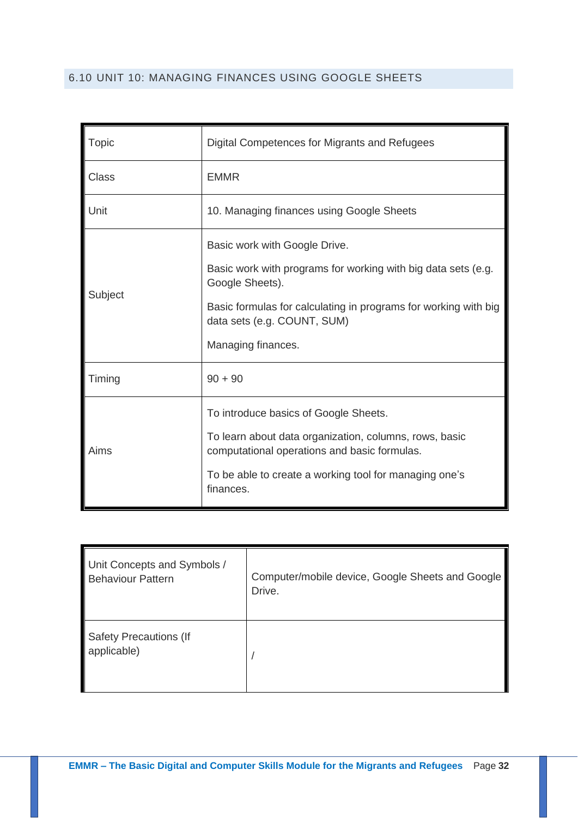# <span id="page-31-0"></span>6.10 UNIT 10: MANAGING FINANCES USING GOOGLE SHEETS

| Topic        | Digital Competences for Migrants and Refugees                                                          |  |
|--------------|--------------------------------------------------------------------------------------------------------|--|
| <b>Class</b> | <b>EMMR</b>                                                                                            |  |
| Unit         | 10. Managing finances using Google Sheets                                                              |  |
| Subject      | Basic work with Google Drive.                                                                          |  |
|              | Basic work with programs for working with big data sets (e.g.<br>Google Sheets).                       |  |
|              | Basic formulas for calculating in programs for working with big<br>data sets (e.g. COUNT, SUM)         |  |
|              | Managing finances.                                                                                     |  |
| Timing       | $90 + 90$                                                                                              |  |
| Aims         | To introduce basics of Google Sheets.                                                                  |  |
|              | To learn about data organization, columns, rows, basic<br>computational operations and basic formulas. |  |
|              | To be able to create a working tool for managing one's<br>finances.                                    |  |

| Unit Concepts and Symbols /                  | Computer/mobile device, Google Sheets and Google |
|----------------------------------------------|--------------------------------------------------|
| <b>Behaviour Pattern</b>                     | Drive.                                           |
| <b>Safety Precautions (If</b><br>applicable) |                                                  |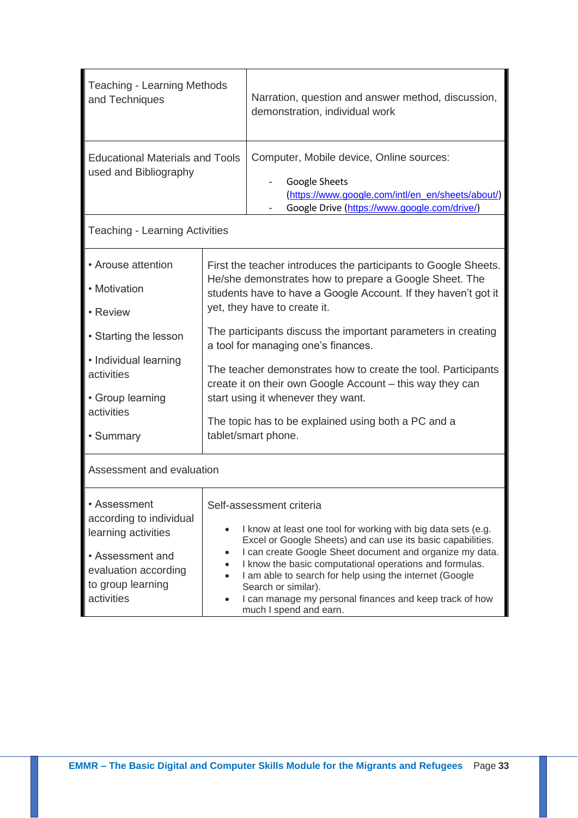| <b>Teaching - Learning Methods</b><br>and Techniques                                                                                          |                                                                                                                                                                                                                                                                                                                                     | Narration, question and answer method, discussion,<br>demonstration, individual work                                                                                                                                                                                                                                                                                                                                                                   |  |  |
|-----------------------------------------------------------------------------------------------------------------------------------------------|-------------------------------------------------------------------------------------------------------------------------------------------------------------------------------------------------------------------------------------------------------------------------------------------------------------------------------------|--------------------------------------------------------------------------------------------------------------------------------------------------------------------------------------------------------------------------------------------------------------------------------------------------------------------------------------------------------------------------------------------------------------------------------------------------------|--|--|
| <b>Educational Materials and Tools</b><br>used and Bibliography                                                                               |                                                                                                                                                                                                                                                                                                                                     | Computer, Mobile device, Online sources:<br>Google Sheets<br>(https://www.google.com/intl/en_en/sheets/about/)<br>Google Drive (https://www.google.com/drive/)                                                                                                                                                                                                                                                                                         |  |  |
| <b>Teaching - Learning Activities</b>                                                                                                         |                                                                                                                                                                                                                                                                                                                                     |                                                                                                                                                                                                                                                                                                                                                                                                                                                        |  |  |
| • Arouse attention<br>• Motivation<br>• Review                                                                                                | First the teacher introduces the participants to Google Sheets.<br>He/she demonstrates how to prepare a Google Sheet. The<br>students have to have a Google Account. If they haven't got it<br>yet, they have to create it.<br>The participants discuss the important parameters in creating<br>a tool for managing one's finances. |                                                                                                                                                                                                                                                                                                                                                                                                                                                        |  |  |
| • Starting the lesson                                                                                                                         |                                                                                                                                                                                                                                                                                                                                     |                                                                                                                                                                                                                                                                                                                                                                                                                                                        |  |  |
| • Individual learning<br>activities<br>• Group learning                                                                                       | The teacher demonstrates how to create the tool. Participants<br>create it on their own Google Account - this way they can<br>start using it whenever they want.                                                                                                                                                                    |                                                                                                                                                                                                                                                                                                                                                                                                                                                        |  |  |
| activities<br>• Summary                                                                                                                       | The topic has to be explained using both a PC and a<br>tablet/smart phone.                                                                                                                                                                                                                                                          |                                                                                                                                                                                                                                                                                                                                                                                                                                                        |  |  |
| Assessment and evaluation                                                                                                                     |                                                                                                                                                                                                                                                                                                                                     |                                                                                                                                                                                                                                                                                                                                                                                                                                                        |  |  |
| • Assessment<br>according to individual<br>learning activities<br>• Assessment and<br>evaluation according<br>to group learning<br>activities | $\bullet$<br>$\bullet$<br>$\bullet$<br>$\bullet$<br>$\bullet$                                                                                                                                                                                                                                                                       | Self-assessment criteria<br>I know at least one tool for working with big data sets (e.g.<br>Excel or Google Sheets) and can use its basic capabilities.<br>I can create Google Sheet document and organize my data.<br>I know the basic computational operations and formulas.<br>I am able to search for help using the internet (Google<br>Search or similar).<br>I can manage my personal finances and keep track of how<br>much I spend and earn. |  |  |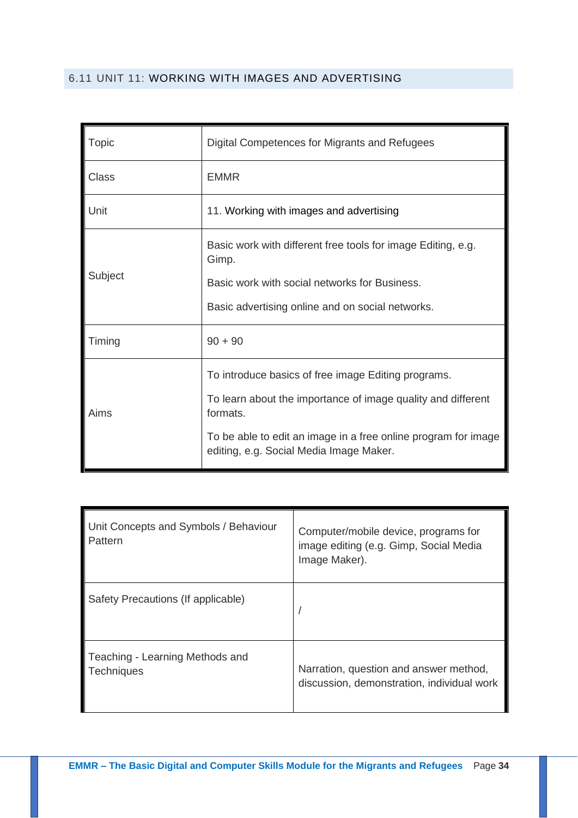## <span id="page-33-0"></span>6.11 UNIT 11: WORKING WITH IMAGES AND ADVERTISING

| Topic        | Digital Competences for Migrants and Refugees                                                                                                                                                                                                |  |  |
|--------------|----------------------------------------------------------------------------------------------------------------------------------------------------------------------------------------------------------------------------------------------|--|--|
| <b>Class</b> | <b>EMMR</b>                                                                                                                                                                                                                                  |  |  |
| Unit         | 11. Working with images and advertising                                                                                                                                                                                                      |  |  |
| Subject      | Basic work with different free tools for image Editing, e.g.<br>Gimp.<br>Basic work with social networks for Business.<br>Basic advertising online and on social networks.                                                                   |  |  |
| Timing       | $90 + 90$                                                                                                                                                                                                                                    |  |  |
| Aims         | To introduce basics of free image Editing programs.<br>To learn about the importance of image quality and different<br>formats.<br>To be able to edit an image in a free online program for image<br>editing, e.g. Social Media Image Maker. |  |  |

| Unit Concepts and Symbols / Behaviour<br>Pattern     | Computer/mobile device, programs for<br>image editing (e.g. Gimp, Social Media<br>Image Maker). |
|------------------------------------------------------|-------------------------------------------------------------------------------------------------|
| Safety Precautions (If applicable)                   |                                                                                                 |
| Teaching - Learning Methods and<br><b>Techniques</b> | Narration, question and answer method,<br>discussion, demonstration, individual work            |